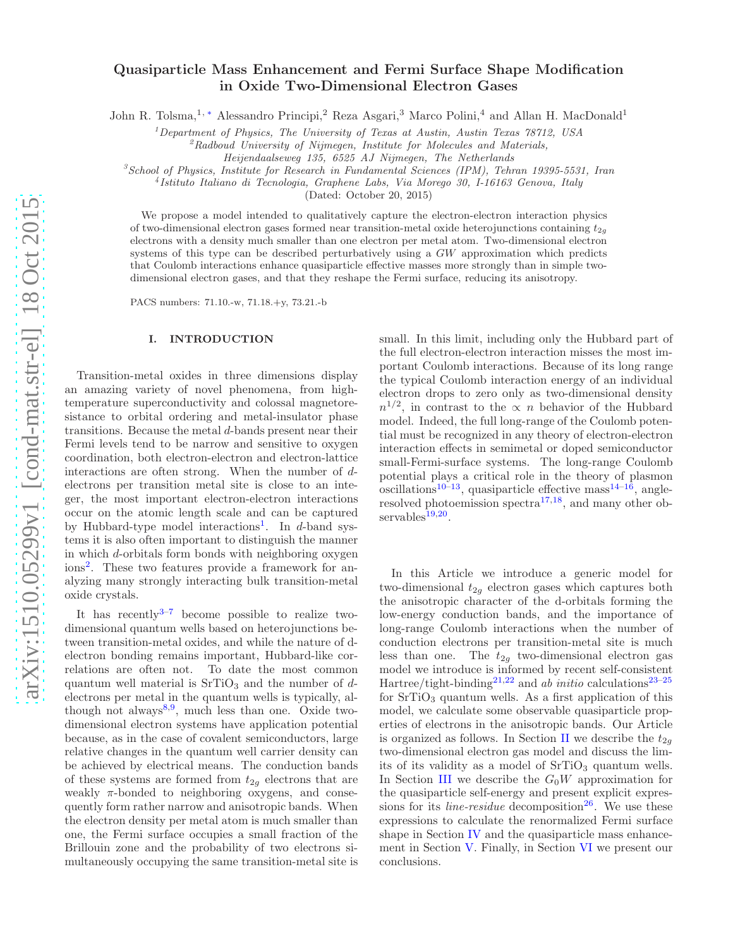# Quasiparticle Mass Enhancement and Fermi Surface Shape Modification in Oxide Two-Dimensional Electron Gases

John R. Tolsma,<sup>1,</sup> \* Alessandro Principi,<sup>2</sup> Reza Asgari,<sup>3</sup> Marco Polini,<sup>4</sup> and Allan H. MacDonald<sup>1</sup>

<sup>1</sup>Department of Physics, The University of Texas at Austin, Austin Texas  $78712$ , USA

 ${}^{2}$ Radboud University of Nijmegen, Institute for Molecules and Materials,

Heijendaalseweg 135, 6525 AJ Nijmegen, The Netherlands

 $3S<sub>S</sub> School of Physics, Institute for Research in Fundamental Sciences (IPM), Tehran 19395-5531, Iran$ 

4 Istituto Italiano di Tecnologia, Graphene Labs, Via Morego 30, I-16163 Genova, Italy

(Dated: October 20, 2015)

We propose a model intended to qualitatively capture the electron-electron interaction physics of two-dimensional electron gases formed near transition-metal oxide heterojunctions containing  $t_{2g}$ electrons with a density much smaller than one electron per metal atom. Two-dimensional electron systems of this type can be described perturbatively using a GW approximation which predicts that Coulomb interactions enhance quasiparticle effective masses more strongly than in simple twodimensional electron gases, and that they reshape the Fermi surface, reducing its anisotropy.

PACS numbers: 71.10.-w, 71.18.+y, 73.21.-b

## I. INTRODUCTION

Transition-metal oxides in three dimensions display an amazing variety of novel phenomena, from hightemperature superconductivity and colossal magnetoresistance to orbital ordering and metal-insulator phase transitions. Because the metal d-bands present near their Fermi levels tend to be narrow and sensitive to oxygen coordination, both electron-electron and electron-lattice interactions are often strong. When the number of delectrons per transition metal site is close to an integer, the most important electron-electron interactions occur on the atomic length scale and can be captured by Hubbard-type model interactions<sup>[1](#page-14-1)</sup>. In d-band systems it is also often important to distinguish the manner in which d-orbitals form bonds with neighboring oxygen ions[2](#page-14-2) . These two features provide a framework for analyzing many strongly interacting bulk transition-metal oxide crystals.

It has recently  $3^{-7}$  $3^{-7}$  become possible to realize twodimensional quantum wells based on heterojunctions between transition-metal oxides, and while the nature of delectron bonding remains important, Hubbard-like correlations are often not. To date the most common quantum well material is  $SrTiO<sub>3</sub>$  and the number of delectrons per metal in the quantum wells is typically, al-though not always<sup>[8](#page-14-5)[,9](#page-14-6)</sup>, much less than one. Oxide twodimensional electron systems have application potential because, as in the case of covalent semiconductors, large relative changes in the quantum well carrier density can be achieved by electrical means. The conduction bands of these systems are formed from  $t_{2g}$  electrons that are weakly  $\pi$ -bonded to neighboring oxygens, and consequently form rather narrow and anisotropic bands. When the electron density per metal atom is much smaller than one, the Fermi surface occupies a small fraction of the Brillouin zone and the probability of two electrons simultaneously occupying the same transition-metal site is small. In this limit, including only the Hubbard part of the full electron-electron interaction misses the most important Coulomb interactions. Because of its long range the typical Coulomb interaction energy of an individual electron drops to zero only as two-dimensional density  $n^{1/2}$ , in contrast to the  $\propto n$  behavior of the Hubbard model. Indeed, the full long-range of the Coulomb potential must be recognized in any theory of electron-electron interaction effects in semimetal or doped semiconductor small-Fermi-surface systems. The long-range Coulomb potential plays a critical role in the theory of plasmon oscillations<sup>[10](#page-14-7)[–13](#page-14-8)</sup>, quasiparticle effective mass<sup>[14](#page-14-9)[–16](#page-14-10)</sup>, angleresolved photoemission spectra[17](#page-14-11)[,18](#page-14-12), and many other ob $s$ ervables<sup>[19](#page-14-13)[,20](#page-14-14)</sup>.

In this Article we introduce a generic model for two-dimensional  $t_{2q}$  electron gases which captures both the anisotropic character of the d-orbitals forming the low-energy conduction bands, and the importance of long-range Coulomb interactions when the number of conduction electrons per transition-metal site is much less than one. The  $t_{2g}$  two-dimensional electron gas model we introduce is informed by recent self-consistent Hartree/tight-binding<sup>[21](#page-14-15)[,22](#page-14-16)</sup> and *ab initio* calculations<sup>[23](#page-14-17)[–25](#page-14-18)</sup> for  $SrTiO<sub>3</sub>$  quantum wells. As a first application of this model, we calculate some observable quasiparticle properties of electrons in the anisotropic bands. Our Article is organized as follows. In Section [II](#page-1-0) we describe the  $t_{2g}$ two-dimensional electron gas model and discuss the limits of its validity as a model of  $SrTiO<sub>3</sub>$  quantum wells. In Section [III](#page-2-0) we describe the  $G_0W$  approximation for the quasiparticle self-energy and present explicit expressions for its *line-residue* decomposition<sup>[26](#page-14-19)</sup>. We use these expressions to calculate the renormalized Fermi surface shape in Section [IV](#page-4-0) and the quasiparticle mass enhancement in Section [V.](#page-7-0) Finally, in Section [VI](#page-12-0) we present our conclusions.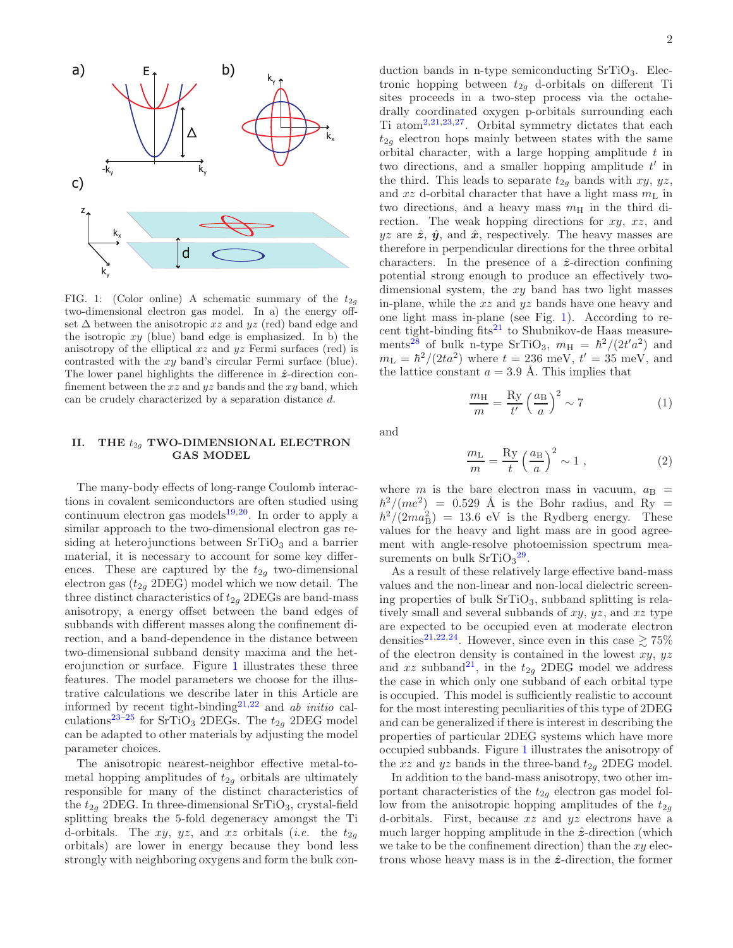

<span id="page-1-1"></span>FIG. 1: (Color online) A schematic summary of the  $t_{2g}$ two-dimensional electron gas model. In a) the energy offset  $\Delta$  between the anisotropic xz and yz (red) band edge and the isotropic  $xy$  (blue) band edge is emphasized. In b) the anisotropy of the elliptical  $xz$  and  $yz$  Fermi surfaces (red) is contrasted with the xy band's circular Fermi surface (blue). The lower panel highlights the difference in  $\hat{z}$ -direction confinement between the  $xz$  and  $yz$  bands and the  $xy$  band, which can be crudely characterized by a separation distance d.

### <span id="page-1-0"></span>II. THE  $t_{2g}$  TWO-DIMENSIONAL ELECTRON GAS MODEL

The many-body effects of long-range Coulomb interactions in covalent semiconductors are often studied using continuum electron gas models<sup>[19](#page-14-13)[,20](#page-14-14)</sup>. In order to apply a similar approach to the two-dimensional electron gas residing at heterojunctions between  $SrTiO<sub>3</sub>$  and a barrier material, it is necessary to account for some key differences. These are captured by the  $t_{2g}$  two-dimensional electron gas  $(t_{2g}$  2DEG) model which we now detail. The three distinct characteristics of  $t_{2g}$  2DEGs are band-mass anisotropy, a energy offset between the band edges of subbands with different masses along the confinement direction, and a band-dependence in the distance between two-dimensional subband density maxima and the heterojunction or surface. Figure [1](#page-1-1) illustrates these three features. The model parameters we choose for the illustrative calculations we describe later in this Article are informed by recent tight-binding<sup>[21](#page-14-15)[,22](#page-14-16)</sup> and *ab initio* cal-culations<sup>[23](#page-14-17)[–25](#page-14-18)</sup> for SrTiO<sub>3</sub> 2DEGs. The  $t_{2g}$  2DEG model can be adapted to other materials by adjusting the model parameter choices.

The anisotropic nearest-neighbor effective metal-tometal hopping amplitudes of  $t_{2q}$  orbitals are ultimately responsible for many of the distinct characteristics of the  $t_{2g}$  2DEG. In three-dimensional SrTiO<sub>3</sub>, crystal-field splitting breaks the 5-fold degeneracy amongst the Ti d-orbitals. The xy, yz, and xz orbitals (i.e. the  $t_{2g}$ orbitals) are lower in energy because they bond less strongly with neighboring oxygens and form the bulk con-

duction bands in n-type semiconducting  $SrTiO<sub>3</sub>$ . Electronic hopping between  $t_{2g}$  d-orbitals on different Ti sites proceeds in a two-step process via the octahedrally coordinated oxygen p-orbitals surrounding each Ti atom<sup>[2](#page-14-2)[,21](#page-14-15)[,23](#page-14-17)[,27](#page-14-20)</sup>. Orbital symmetry dictates that each  $t_{2g}$  electron hops mainly between states with the same orbital character, with a large hopping amplitude  $t$  in two directions, and a smaller hopping amplitude  $t'$  in the third. This leads to separate  $t_{2g}$  bands with  $xy, yz$ , and xz d-orbital character that have a light mass  $m<sub>L</sub>$  in two directions, and a heavy mass  $m<sub>H</sub>$  in the third direction. The weak hopping directions for  $xy$ ,  $xz$ , and  $yz$  are  $\hat{z}$ ,  $\hat{y}$ , and  $\hat{x}$ , respectively. The heavy masses are therefore in perpendicular directions for the three orbital characters. In the presence of a  $\hat{z}$ -direction confining potential strong enough to produce an effectively twodimensional system, the xy band has two light masses in-plane, while the  $xz$  and  $yz$  bands have one heavy and one light mass in-plane (see Fig. [1\)](#page-1-1). According to re-cent tight-binding fits<sup>[21](#page-14-15)</sup> to Shubnikov-de Haas measure-ments<sup>[28](#page-14-21)</sup> of bulk n-type SrTiO<sub>3</sub>,  $m_{\rm H} = \hbar^2/(2t'a^2)$  and  $m_{\rm L} = \hbar^2/(2ta^2)$  where  $t = 236$  meV,  $t' = 35$  meV, and the lattice constant  $a = 3.9$  Å. This implies that

<span id="page-1-2"></span>
$$
\frac{m_{\rm H}}{m} = \frac{\text{Ry}}{t'} \left(\frac{a_{\rm B}}{a}\right)^2 \sim 7\tag{1}
$$

and

<span id="page-1-3"></span>
$$
\frac{m_{\rm L}}{m} = \frac{\text{Ry}}{t} \left(\frac{a_{\rm B}}{a}\right)^2 \sim 1 \tag{2}
$$

where m is the bare electron mass in vacuum,  $a_{\text{B}}$  =  $\hbar^2/(me^2)$  = 0.529 Å is the Bohr radius, and Ry =  $\hbar^2/(2ma_\text{B}^2) = 13.6 \text{ eV}$  is the Rydberg energy. These values for the heavy and light mass are in good agreement with angle-resolve photoemission spectrum measurements on bulk  $\text{SrTiO}_3^{\,29}$  $\text{SrTiO}_3^{\,29}$  $\text{SrTiO}_3^{\,29}$ .

As a result of these relatively large effective band-mass values and the non-linear and non-local dielectric screening properties of bulk  $SrTiO<sub>3</sub>$ , subband splitting is relatively small and several subbands of  $xy$ ,  $yz$ , and  $xz$  type are expected to be occupied even at moderate electron densities<sup>[21](#page-14-15)[,22](#page-14-16)[,24](#page-14-23)</sup>. However, since even in this case  $\geq 75\%$ of the electron density is contained in the lowest  $xy$ ,  $yz$ and xz subband<sup>[21](#page-14-15)</sup>, in the  $t_{2g}$  2DEG model we address the case in which only one subband of each orbital type is occupied. This model is sufficiently realistic to account for the most interesting peculiarities of this type of 2DEG and can be generalized if there is interest in describing the properties of particular 2DEG systems which have more occupied subbands. Figure [1](#page-1-1) illustrates the anisotropy of the xz and yz bands in the three-band  $t_{2g}$  2DEG model.

In addition to the band-mass anisotropy, two other important characteristics of the  $t_{2g}$  electron gas model follow from the anisotropic hopping amplitudes of the  $t_{2g}$ d-orbitals. First, because  $xz$  and  $yz$  electrons have a much larger hopping amplitude in the  $\hat{z}$ -direction (which we take to be the confinement direction) than the  $xy$  electrons whose heavy mass is in the  $\hat{z}$ -direction, the former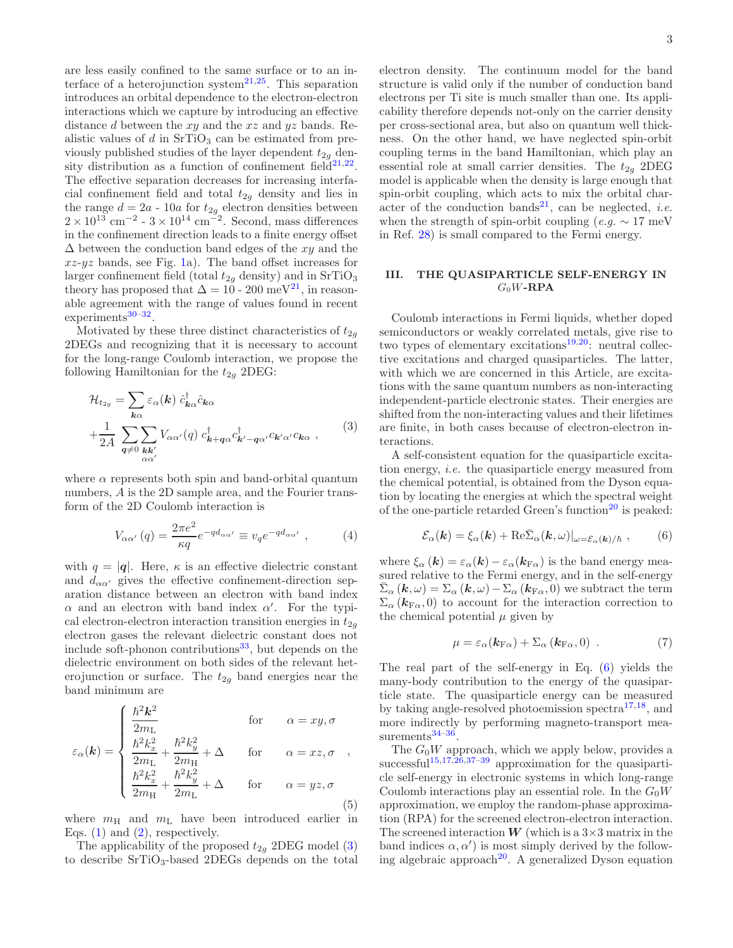are less easily confined to the same surface or to an in-terface of a heterojunction system<sup>[21](#page-14-15)[,25](#page-14-18)</sup>. This separation introduces an orbital dependence to the electron-electron interactions which we capture by introducing an effective distance d between the  $xy$  and the  $xz$  and  $yz$  bands. Realistic values of  $d$  in  $SrTiO<sub>3</sub>$  can be estimated from previously published studies of the layer dependent  $t_{2g}$  density distribution as a function of confinement field $2^{1,22}$  $2^{1,22}$  $2^{1,22}$ . The effective separation decreases for increasing interfacial confinement field and total  $t_{2g}$  density and lies in the range  $d = 2a - 10a$  for  $t_{2g}$  electron densities between  $2 \times 10^{13}$  cm<sup>-2</sup> -  $3 \times 10^{14}$  cm<sup>-2</sup>. Second, mass differences in the confinement direction leads to a finite energy offset  $\Delta$  between the conduction band edges of the xy and the  $xz-yz$  bands, see Fig. [1a](#page-1-1)). The band offset increases for larger confinement field (total  $t_{2g}$  density) and in  $SrTiO<sub>3</sub>$ theory has proposed that  $\Delta = 10 - 200$  meV<sup>[21](#page-14-15)</sup>, in reasonable agreement with the range of values found in recent experiments<sup>[30](#page-14-24)[–32](#page-14-25)</sup>.

Motivated by these three distinct characteristics of  $t_{2g}$ 2DEGs and recognizing that it is necessary to account for the long-range Coulomb interaction, we propose the following Hamiltonian for the  $t_{2g}$  2DEG:

<span id="page-2-1"></span>
$$
\mathcal{H}_{t_{2g}} = \sum_{\mathbf{k}\alpha} \varepsilon_{\alpha}(\mathbf{k}) \; \hat{c}_{\mathbf{k}\alpha}^{\dagger} \hat{c}_{\mathbf{k}\alpha} \n+ \frac{1}{2A} \sum_{\mathbf{q}\neq 0} \sum_{\mathbf{k}\mathbf{k}'} V_{\alpha\alpha'}(q) \; c_{\mathbf{k}+\mathbf{q}\alpha}^{\dagger} c_{\mathbf{k}'-\mathbf{q}\alpha'}^{\dagger} c_{\mathbf{k}'\alpha'} c_{\mathbf{k}\alpha} ,
$$
\n(3)

where  $\alpha$  represents both spin and band-orbital quantum numbers, A is the 2D sample area, and the Fourier transform of the 2D Coulomb interaction is

$$
V_{\alpha\alpha'}(q) = \frac{2\pi e^2}{\kappa q} e^{-q d_{\alpha\alpha'}} \equiv v_q e^{-q d_{\alpha\alpha'}}, \qquad (4)
$$

with  $q = |q|$ . Here,  $\kappa$  is an effective dielectric constant and  $d_{\alpha\alpha'}$  gives the effective confinement-direction separation distance between an electron with band index  $\alpha$  and an electron with band index  $\alpha'$ . For the typical electron-electron interaction transition energies in  $t_{2g}$ electron gases the relevant dielectric constant does not include soft-phonon contributions<sup>[33](#page-14-26)</sup>, but depends on the dielectric environment on both sides of the relevant heterojunction or surface. The  $t_{2g}$  band energies near the band minimum are

<span id="page-2-3"></span>
$$
\varepsilon_{\alpha}(\mathbf{k}) = \begin{cases}\n\frac{\hbar^2 \mathbf{k}^2}{2m_{\rm L}} & \text{for} \quad \alpha = xy, \sigma \\
\frac{\hbar^2 k_x^2}{2m_{\rm L}} + \frac{\hbar^2 k_y^2}{2m_{\rm H}} + \Delta & \text{for} \quad \alpha = xz, \sigma \\
\frac{\hbar^2 k_x^2}{2m_{\rm H}} + \frac{\hbar^2 k_y^2}{2m_{\rm L}} + \Delta & \text{for} \quad \alpha = yz, \sigma \\
\end{cases}
$$
\n(5)

where  $m_{\text{H}}$  and  $m_{\text{L}}$  have been introduced earlier in Eqs.  $(1)$  and  $(2)$ , respectively.

The applicability of the proposed  $t_{2g}$  2DEG model [\(3\)](#page-2-1) to describe  $SrTiO<sub>3</sub>$ -based 2DEGs depends on the total electron density. The continuum model for the band structure is valid only if the number of conduction band electrons per Ti site is much smaller than one. Its applicability therefore depends not-only on the carrier density per cross-sectional area, but also on quantum well thickness. On the other hand, we have neglected spin-orbit coupling terms in the band Hamiltonian, which play an essential role at small carrier densities. The  $t_{2g}$  2DEG model is applicable when the density is large enough that spin-orbit coupling, which acts to mix the orbital char-acter of the conduction bands<sup>[21](#page-14-15)</sup>, can be neglected, *i.e.* when the strength of spin-orbit coupling (e.g.  $\sim 17 \text{ meV}$ ) in Ref. [28\)](#page-14-21) is small compared to the Fermi energy.

# <span id="page-2-0"></span>III. THE QUASIPARTICLE SELF-ENERGY IN  $G_0W\text{-}\mathbf{RPA}$

Coulomb interactions in Fermi liquids, whether doped semiconductors or weakly correlated metals, give rise to two types of elementary excitations<sup>[19](#page-14-13)[,20](#page-14-14)</sup>: neutral collective excitations and charged quasiparticles. The latter, with which we are concerned in this Article, are excitations with the same quantum numbers as non-interacting independent-particle electronic states. Their energies are shifted from the non-interacting values and their lifetimes are finite, in both cases because of electron-electron interactions.

A self-consistent equation for the quasiparticle excitation energy, i.e. the quasiparticle energy measured from the chemical potential, is obtained from the Dyson equation by locating the energies at which the spectral weight of the one-particle retarded Green's function<sup>[20](#page-14-14)</sup> is peaked:

<span id="page-2-2"></span>
$$
\mathcal{E}_{\alpha}(\mathbf{k}) = \xi_{\alpha}(\mathbf{k}) + \text{Re}\bar{\Sigma}_{\alpha}(\mathbf{k},\omega)|_{\omega = \mathcal{E}_{\alpha}(\mathbf{k})/\hbar},\qquad(6)
$$

where  $\xi_{\alpha}(\mathbf{k}) = \varepsilon_{\alpha}(\mathbf{k}) - \varepsilon_{\alpha}(\mathbf{k}_{F\alpha})$  is the band energy measured relative to the Fermi energy, and in the self-energy  $\bar{\Sigma}_{\alpha} (\boldsymbol{k}, \omega) = \Sigma_{\alpha} (\boldsymbol{k}, \omega) - \Sigma_{\alpha} (\boldsymbol{k}_{F\alpha}, 0)$  we subtract the term  $\Sigma_{\alpha}$  ( $k_{\text{F}\alpha}$ , 0) to account for the interaction correction to the chemical potential  $\mu$  given by

<span id="page-2-4"></span>
$$
\mu = \varepsilon_{\alpha}(\mathbf{k}_{F\alpha}) + \Sigma_{\alpha}(\mathbf{k}_{F\alpha}, 0) \tag{7}
$$

The real part of the self-energy in Eq. [\(6\)](#page-2-2) yields the many-body contribution to the energy of the quasiparticle state. The quasiparticle energy can be measured by taking angle-resolved photoemission spectra<sup>[17](#page-14-11)[,18](#page-14-12)</sup>, and more indirectly by performing magneto-transport mea- $\text{surements}^{\mathbf{34-36}}.$  $\text{surements}^{\mathbf{34-36}}.$  $\text{surements}^{\mathbf{34-36}}.$ 

The  $G_0W$  approach, which we apply below, provides a successful<sup>[15](#page-14-29)[,17](#page-14-11)[,26](#page-14-19)[,37](#page-14-30)[–39](#page-14-31)</sup> approximation for the quasiparticle self-energy in electronic systems in which long-range Coulomb interactions play an essential role. In the  $G_0W$ approximation, we employ the random-phase approximation (RPA) for the screened electron-electron interaction. The screened interaction  $W$  (which is a  $3\times3$  matrix in the band indices  $\alpha, \alpha'$  is most simply derived by the follow-ing algebraic approach<sup>[20](#page-14-14)</sup>. A generalized Dyson equation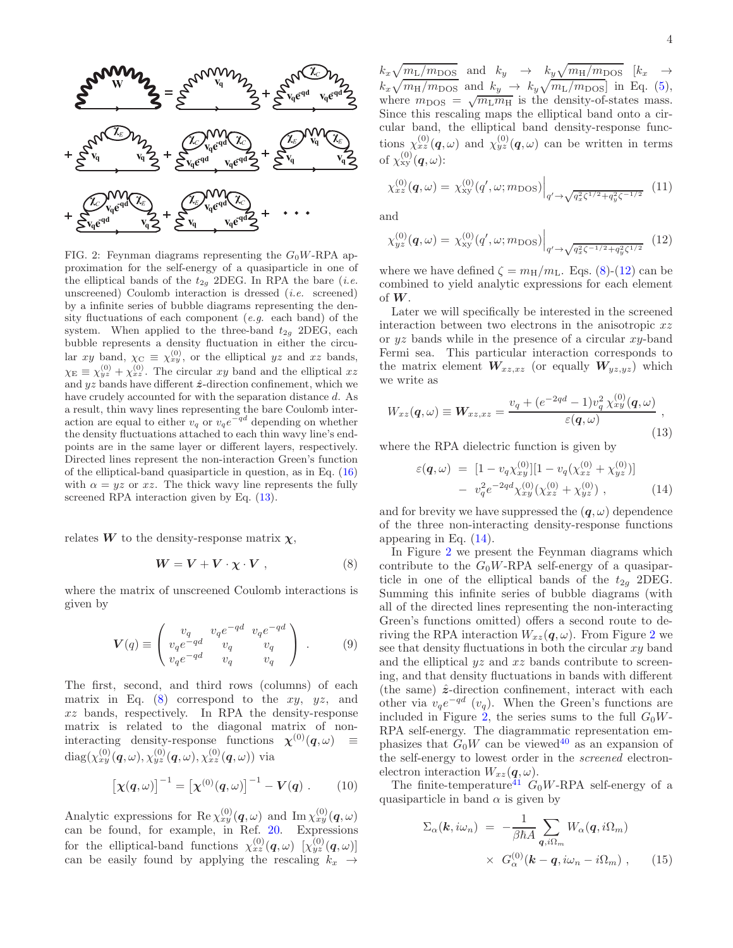

<span id="page-3-4"></span>FIG. 2: Feynman diagrams representing the  $G_0W$ -RPA approximation for the self-energy of a quasiparticle in one of the elliptical bands of the  $t_{2g}$  2DEG. In RPA the bare (*i.e.* unscreened) Coulomb interaction is dressed (i.e. screened) by a infinite series of bubble diagrams representing the density fluctuations of each component (e.g. each band) of the system. When applied to the three-band  $t_{2q}$  2DEG, each bubble represents a density fluctuation in either the circular xy band,  $\chi_{\rm C} \equiv \chi_{xy}^{(0)}$ , or the elliptical yz and xz bands,  $\chi_{\rm E} \equiv \chi_{yz}^{(0)} + \chi_{xz}^{(0)}$ . The circular xy band and the elliptical xz and  $yz$  bands have different  $\hat{z}$ -direction confinement, which we have crudely accounted for with the separation distance d. As a result, thin wavy lines representing the bare Coulomb interaction are equal to either  $v_q$  or  $v_q e^{-qd}$  depending on whether the density fluctuations attached to each thin wavy line's endpoints are in the same layer or different layers, respectively. Directed lines represent the non-interaction Green's function of the elliptical-band quasiparticle in question, as in Eq. [\(16\)](#page-4-1) with  $\alpha = yz$  or xz. The thick wavy line represents the fully screened RPA interaction given by Eq.  $(13)$ .

relates W to the density-response matrix  $\chi$ ,

<span id="page-3-1"></span>
$$
W = V + V \cdot \chi \cdot V , \qquad (8)
$$

where the matrix of unscreened Coulomb interactions is given by

$$
\boldsymbol{V}(q) \equiv \begin{pmatrix} v_q & v_q e^{-qd} & v_q e^{-qd} \\ v_q e^{-qd} & v_q & v_q \\ v_q e^{-qd} & v_q & v_q \end{pmatrix} . \tag{9}
$$

The first, second, and third rows (columns) of each matrix in Eq.  $(8)$  correspond to the xy, yz, and xz bands, respectively. In RPA the density-response matrix is related to the diagonal matrix of noninteracting density-response functions  $\chi^{(0)}(q,\omega) \equiv$  $\mathrm{diag}(\chi_{xy}^{(0)}(\boldsymbol{q},\omega),\chi_{yz}^{(0)}(\boldsymbol{q},\omega),\chi_{xz}^{(0)}(\boldsymbol{q},\omega))$  via

$$
[\chi(q,\omega)]^{-1} = [\chi^{(0)}(q,\omega)]^{-1} - V(q) . \qquad (10)
$$

Analytic expressions for  $\text{Re }\chi_{xy}^{(0)}(\mathbf{q},\omega)$  and  $\text{Im }\chi_{xy}^{(0)}(\mathbf{q},\omega)$ can be found, for example, in Ref. [20.](#page-14-14) Expressions for the elliptical-band functions  $\chi^{(0)}_{xz}(\boldsymbol{q},\omega)$   $[\chi^{(0)}_{yz}(\boldsymbol{q},\omega)]$ can be easily found by applying the rescaling  $k_x \rightarrow$ 

 $k_x\sqrt{m_L/m_{\text{DOS}}}$  and  $k_y \rightarrow k_y\sqrt{m_H/m_{\text{DOS}}}$   $[k_x \rightarrow$  $k_x \sqrt{m_H/m_{\text{DOS}}}$  and  $k_y \rightarrow k_y \sqrt{m_L/m_{\text{DOS}}}$  in Eq. [\(5\)](#page-2-3), where  $m_{\text{DOS}} = \sqrt{m_{\text{L}} m_{\text{H}}}$  is the density-of-states mass. Since this rescaling maps the elliptical band onto a circular band, the elliptical band density-response functions  $\chi_{xz}^{(0)}(q,\omega)$  and  $\chi_{yz}^{(0)}(q,\omega)$  can be written in terms of  $\chi^{(0)}_{xy}(\bm{q},\omega)$ :

$$
\chi_{xz}^{(0)}(\mathbf{q},\omega) = \chi_{xy}^{(0)}(q',\omega;m_{\text{DOS}})\Big|_{q'\to\sqrt{q_x^2\zeta^{1/2}+q_y^2\zeta^{-1/2}}} \tag{11}
$$

and

<span id="page-3-2"></span>
$$
\chi_{yz}^{(0)}(\mathbf{q},\omega) = \chi_{xy}^{(0)}(q',\omega;m_{\text{DOS}})\Big|_{q'\to\sqrt{q_x^2\zeta^{-1/2}+q_y^2\zeta^{1/2}}} \tag{12}
$$

where we have defined  $\zeta = m_{\rm H}/m_{\rm L}$ . Eqs. [\(8\)](#page-3-1)-[\(12\)](#page-3-2) can be combined to yield analytic expressions for each element of W.

Later we will specifically be interested in the screened interaction between two electrons in the anisotropic  $xz$ or  $yz$  bands while in the presence of a circular  $xy$ -band Fermi sea. This particular interaction corresponds to the matrix element  $W_{xz,xz}$  (or equally  $W_{yz,yz}$ ) which we write as

<span id="page-3-0"></span>
$$
W_{xz}(\boldsymbol{q},\omega) \equiv \boldsymbol{W}_{xz,xz} = \frac{v_q + (e^{-2qd} - 1)v_q^2 \chi_{xy}^{(0)}(\boldsymbol{q},\omega)}{\varepsilon(\boldsymbol{q},\omega)},\tag{13}
$$

where the RPA dielectric function is given by

<span id="page-3-3"></span>
$$
\varepsilon(\mathbf{q}, \omega) = [1 - v_q \chi_{xy}^{(0)}][1 - v_q (\chi_{xz}^{(0)} + \chi_{yz}^{(0)})] \n- v_q^2 e^{-2q} \chi_{xy}^{(0)} (\chi_{xz}^{(0)} + \chi_{yz}^{(0)}) , \qquad (14)
$$

and for brevity we have suppressed the  $(q,\omega)$  dependence of the three non-interacting density-response functions appearing in Eq. [\(14\)](#page-3-3).

In Figure [2](#page-3-4) we present the Feynman diagrams which contribute to the  $G_0W$ -RPA self-energy of a quasiparticle in one of the elliptical bands of the  $t_{2g}$  2DEG. Summing this infinite series of bubble diagrams (with all of the directed lines representing the non-interacting Green's functions omitted) offers a second route to deriving the RPA interaction  $W_{xz}(\boldsymbol{q}, \omega)$ . From Figure [2](#page-3-4) we see that density fluctuations in both the circular  $xy$  band and the elliptical  $yz$  and  $xz$  bands contribute to screening, and that density fluctuations in bands with different (the same)  $\hat{z}$ -direction confinement, interact with each other via  $v_q e^{-qd}$  ( $v_q$ ). When the Green's functions are included in Figure [2,](#page-3-4) the series sums to the full  $G_0W$ -RPA self-energy. The diagrammatic representation emphasizes that  $G_0W$  can be viewed<sup>[40](#page-14-32)</sup> as an expansion of the self-energy to lowest order in the screened electronelectron interaction  $W_{xz}(\boldsymbol{q}, \omega)$ .

The finite-temperature<sup>[41](#page-14-33)</sup>  $G_0W$ -RPA self-energy of a quasiparticle in band  $\alpha$  is given by

<span id="page-3-5"></span>
$$
\Sigma_{\alpha}(\mathbf{k}, i\omega_n) = -\frac{1}{\beta \hbar A} \sum_{\mathbf{q}, i\Omega_m} W_{\alpha}(\mathbf{q}, i\Omega_m)
$$

$$
\times G_{\alpha}^{(0)}(\mathbf{k} - \mathbf{q}, i\omega_n - i\Omega_m) , \qquad (15)
$$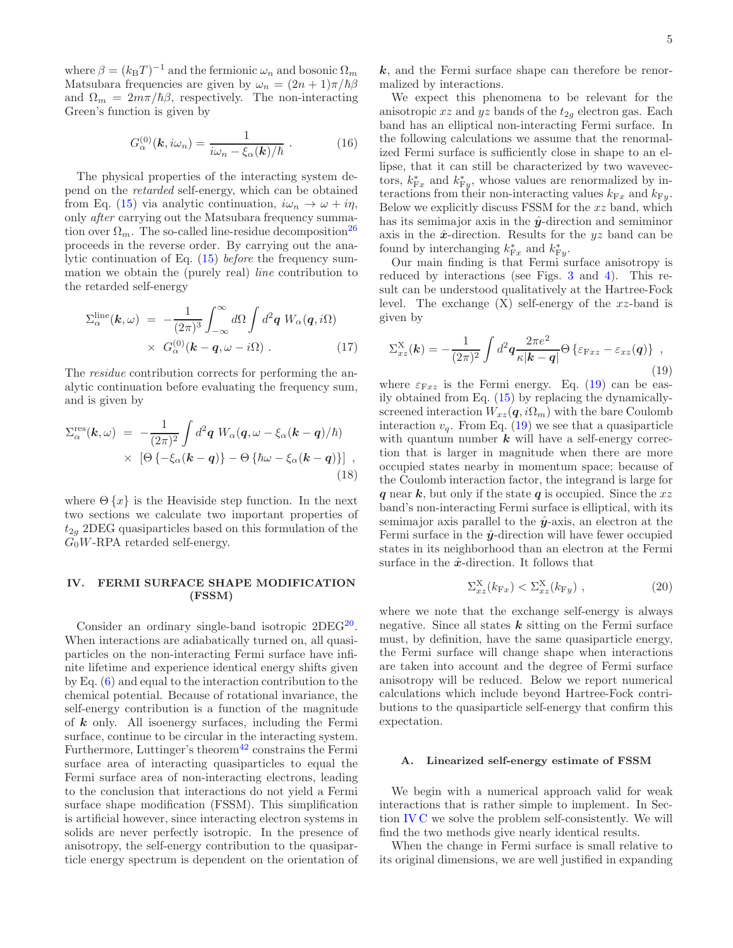where  $\beta = (k_{\text{B}}T)^{-1}$  and the fermionic  $\omega_n$  and bosonic  $\Omega_m$ Matsubara frequencies are given by  $\omega_n = (2n+1)\pi/\hbar\beta$ and  $\Omega_m = 2m\pi/\hbar\beta$ , respectively. The non-interacting Green's function is given by

<span id="page-4-1"></span>
$$
G_{\alpha}^{(0)}(\mathbf{k}, i\omega_n) = \frac{1}{i\omega_n - \xi_{\alpha}(\mathbf{k})/\hbar} \ . \tag{16}
$$

The physical properties of the interacting system depend on the retarded self-energy, which can be obtained from Eq. [\(15\)](#page-3-5) via analytic continuation,  $i\omega_n \to \omega + i\eta$ , only after carrying out the Matsubara frequency summation over  $\Omega_m$ . The so-called line-residue decomposition<sup>[26](#page-14-19)</sup> proceeds in the reverse order. By carrying out the analytic continuation of Eq. [\(15\)](#page-3-5) before the frequency summation we obtain the (purely real) line contribution to the retarded self-energy

$$
\Sigma_{\alpha}^{\text{line}}(\boldsymbol{k},\omega) = -\frac{1}{(2\pi)^3} \int_{-\infty}^{\infty} d\Omega \int d^2 \boldsymbol{q} \ W_{\alpha}(\boldsymbol{q},i\Omega) \times G_{\alpha}^{(0)}(\boldsymbol{k}-\boldsymbol{q},\omega-i\Omega) .
$$
 (17)

The residue contribution corrects for performing the analytic continuation before evaluating the frequency sum, and is given by

$$
\Sigma_{\alpha}^{\text{res}}(\boldsymbol{k},\omega) = -\frac{1}{(2\pi)^2} \int d^2 \boldsymbol{q} \ W_{\alpha}(\boldsymbol{q},\omega - \xi_{\alpha}(\boldsymbol{k} - \boldsymbol{q})/\hbar) \times \left[ \Theta \left\{ -\xi_{\alpha}(\boldsymbol{k} - \boldsymbol{q}) \right\} - \Theta \left\{ \hbar \omega - \xi_{\alpha}(\boldsymbol{k} - \boldsymbol{q}) \right\} \right] ,
$$
\n(18)

where  $\Theta\{x\}$  is the Heaviside step function. In the next two sections we calculate two important properties of  $t_{2g}$  2DEG quasiparticles based on this formulation of the  $G_0W$ -RPA retarded self-energy.

# <span id="page-4-0"></span>IV. FERMI SURFACE SHAPE MODIFICATION (FSSM)

Consider an ordinary single-band isotropic  $2DEG^{20}$  $2DEG^{20}$  $2DEG^{20}$ . When interactions are adiabatically turned on, all quasiparticles on the non-interacting Fermi surface have infinite lifetime and experience identical energy shifts given by Eq. [\(6\)](#page-2-2) and equal to the interaction contribution to the chemical potential. Because of rotational invariance, the self-energy contribution is a function of the magnitude of  $k$  only. All isoenergy surfaces, including the Fermi surface, continue to be circular in the interacting system. Furthermore, Luttinger's theorem $42$  constrains the Fermi surface area of interacting quasiparticles to equal the Fermi surface area of non-interacting electrons, leading to the conclusion that interactions do not yield a Fermi surface shape modification (FSSM). This simplification is artificial however, since interacting electron systems in solids are never perfectly isotropic. In the presence of anisotropy, the self-energy contribution to the quasiparticle energy spectrum is dependent on the orientation of  $k$ , and the Fermi surface shape can therefore be renormalized by interactions.

We expect this phenomena to be relevant for the anisotropic xz and yz bands of the  $t_{2q}$  electron gas. Each band has an elliptical non-interacting Fermi surface. In the following calculations we assume that the renormalized Fermi surface is sufficiently close in shape to an ellipse, that it can still be characterized by two wavevectors,  $k_{\mathrm{F}x}^*$  and  $k_{\mathrm{F}y}^*$ , whose values are renormalized by interactions from their non-interacting values  $k_{Fx}$  and  $k_{Fy}$ . Below we explicitly discuss FSSM for the xz band, which has its semimajor axis in the  $\hat{y}$ -direction and semiminor axis in the  $\hat{x}$ -direction. Results for the  $yz$  band can be found by interchanging  $k_{\mathrm{F}x}^*$  and  $k_{\mathrm{F}y}^*$ .

Our main finding is that Fermi surface anisotropy is reduced by interactions (see Figs. [3](#page-5-0) and [4\)](#page-8-0). This result can be understood qualitatively at the Hartree-Fock level. The exchange  $(X)$  self-energy of the xz-band is given by

<span id="page-4-2"></span>
$$
\Sigma_{xz}^X(\mathbf{k}) = -\frac{1}{(2\pi)^2} \int d^2\mathbf{q} \frac{2\pi e^2}{\kappa |\mathbf{k} - \mathbf{q}|} \Theta \left\{ \varepsilon_{\mathrm{F}xz} - \varepsilon_{xz}(\mathbf{q}) \right\} , \tag{19}
$$

where  $\varepsilon_{Fxz}$  is the Fermi energy. Eq. [\(19\)](#page-4-2) can be easily obtained from Eq. [\(15\)](#page-3-5) by replacing the dynamicallyscreened interaction  $W_{xz}(\boldsymbol{q}, i\Omega_m)$  with the bare Coulomb interaction  $v_q$ . From Eq. [\(19\)](#page-4-2) we see that a quasiparticle with quantum number  $k$  will have a self-energy correction that is larger in magnitude when there are more occupied states nearby in momentum space; because of the Coulomb interaction factor, the integrand is large for q near k, but only if the state q is occupied. Since the  $xz$ band's non-interacting Fermi surface is elliptical, with its semimajor axis parallel to the  $\hat{y}$ -axis, an electron at the Fermi surface in the  $\hat{y}$ -direction will have fewer occupied states in its neighborhood than an electron at the Fermi surface in the  $\hat{x}$ -direction. It follows that

$$
\Sigma_{xz}^{\mathbf{X}}(k_{\mathbf{F}x}) < \Sigma_{xz}^{\mathbf{X}}(k_{\mathbf{F}y}) \tag{20}
$$

where we note that the exchange self-energy is always negative. Since all states  $k$  sitting on the Fermi surface must, by definition, have the same quasiparticle energy, the Fermi surface will change shape when interactions are taken into account and the degree of Fermi surface anisotropy will be reduced. Below we report numerical calculations which include beyond Hartree-Fock contributions to the quasiparticle self-energy that confirm this expectation.

#### <span id="page-4-3"></span>A. Linearized self-energy estimate of FSSM

We begin with a numerical approach valid for weak interactions that is rather simple to implement. In Section [IV C](#page-7-1) we solve the problem self-consistently. We will find the two methods give nearly identical results.

When the change in Fermi surface is small relative to its original dimensions, we are well justified in expanding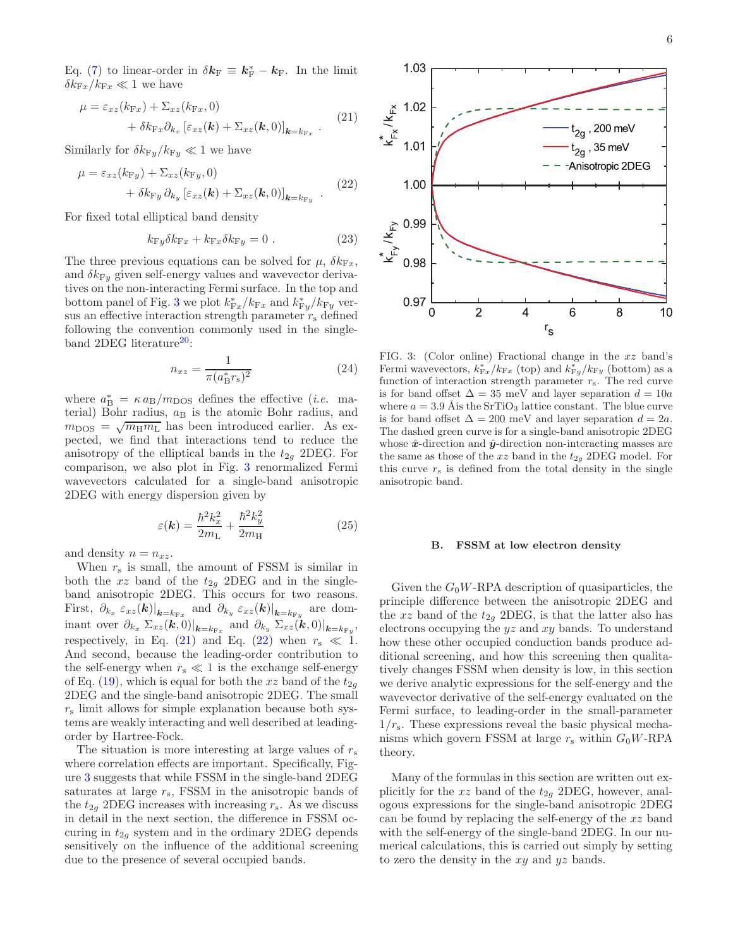Eq. [\(7\)](#page-2-4) to linear-order in  $\delta k_{\rm F} \equiv k_{\rm F}^* - k_{\rm F}$ . In the limit  $\delta k_{\mathrm{F}x}/k_{\mathrm{F}x} \ll 1$  we have

<span id="page-5-1"></span>
$$
\mu = \varepsilon_{xz}(k_{\mathrm{F}x}) + \Sigma_{xz}(k_{\mathrm{F}x}, 0) \n+ \delta k_{\mathrm{F}x} \partial_{k_x} \left[ \varepsilon_{xz}(\boldsymbol{k}) + \Sigma_{xz}(\boldsymbol{k}, 0) \right]_{\boldsymbol{k} = k_{\mathrm{F}x}}.
$$
\n(21)

Similarly for  $\delta k_{\rm Fy}/k_{\rm Fy} \ll 1$  we have

<span id="page-5-2"></span>
$$
\mu = \varepsilon_{xz}(k_{\rm Fy}) + \Sigma_{xz}(k_{\rm Fy}, 0) + \delta k_{\rm Fy} \partial_{k_y} [\varepsilon_{xz}(\boldsymbol{k}) + \Sigma_{xz}(\boldsymbol{k}, 0)]_{\boldsymbol{k} = k_{\rm Fy}} .
$$
 (22)

For fixed total elliptical band density

$$
k_{\rm Fy}\delta k_{\rm Fx} + k_{\rm Fx}\delta k_{\rm Fy} = 0.
$$
 (23)

The three previous equations can be solved for  $\mu$ ,  $\delta k_{\text{F}x}$ , and  $\delta k_{Fy}$  given self-energy values and wavevector derivatives on the non-interacting Fermi surface. In the top and bottom panel of Fig. [3](#page-5-0) we plot  $k_{\text{F}x}^*/k_{\text{F}x}$  and  $k_{\text{F}y}^*/k_{\text{F}y}$  versus an effective interaction strength parameter  $r<sub>s</sub>$  defined following the convention commonly used in the single-band 2DEG literature<sup>[20](#page-14-14)</sup>:

<span id="page-5-3"></span>
$$
n_{xz} = \frac{1}{\pi (a_{\rm B}^* r_{\rm s})^2} \tag{24}
$$

where  $a_{\rm B}^* = \kappa a_{\rm B}/m_{\rm DOS}$  defines the effective (*i.e.* material) Bohr radius,  $a_B$  is the atomic Bohr radius, and  $m_{\text{DOS}} = \sqrt{m_{\text{H}} m_{\text{L}}}$  has been introduced earlier. As expected, we find that interactions tend to reduce the anisotropy of the elliptical bands in the  $t_{2g}$  2DEG. For comparison, we also plot in Fig. [3](#page-5-0) renormalized Fermi wavevectors calculated for a single-band anisotropic 2DEG with energy dispersion given by

$$
\varepsilon(\mathbf{k}) = \frac{\hbar^2 k_x^2}{2m_\text{L}} + \frac{\hbar^2 k_y^2}{2m_\text{H}}\tag{25}
$$

and density  $n = n_{xz}$ .

When  $r_s$  is small, the amount of FSSM is similar in both the  $xz$  band of the  $t_{2g}$  2DEG and in the singleband anisotropic 2DEG. This occurs for two reasons. First,  $\partial_{k_x} \varepsilon_{xz}(\boldsymbol{k})|_{\boldsymbol{k}=\!k_{\text{F}x}}$  and  $\partial_{k_y} \varepsilon_{xz}(\boldsymbol{k})|_{\boldsymbol{k}=\!k_{\text{F}y}}$  are dominant over  $\partial_{k_x} \Sigma_{xz}(\boldsymbol{k},0)|_{\boldsymbol{k}=k_{\text{F}x}}$  and  $\partial_{k_y} \Sigma_{xz}(\boldsymbol{k},0)|_{\boldsymbol{k}=k_{\text{F}y}}$ , respectively, in Eq. [\(21\)](#page-5-1) and Eq. [\(22\)](#page-5-2) when  $r_s \ll 1$ . And second, because the leading-order contribution to the self-energy when  $r_s \ll 1$  is the exchange self-energy of Eq. [\(19\)](#page-4-2), which is equal for both the xz band of the  $t_{2g}$ 2DEG and the single-band anisotropic 2DEG. The small  $r<sub>s</sub>$  limit allows for simple explanation because both systems are weakly interacting and well described at leadingorder by Hartree-Fock.

The situation is more interesting at large values of  $r_s$ where correlation effects are important. Specifically, Figure [3](#page-5-0) suggests that while FSSM in the single-band 2DEG saturates at large  $r<sub>s</sub>$ , FSSM in the anisotropic bands of the  $t_{2g}$  2DEG increases with increasing  $r_s$ . As we discuss in detail in the next section, the difference in FSSM occuring in  $t_{2q}$  system and in the ordinary 2DEG depends sensitively on the influence of the additional screening due to the presence of several occupied bands.



<span id="page-5-0"></span>FIG. 3: (Color online) Fractional change in the xz band's Fermi wavevectors,  $k_{\text{F}x}^*/k_{\text{F}x}$  (top) and  $k_{\text{F}y}^*/k_{\text{F}y}$  (bottom) as a function of interaction strength parameter  $r_s$ . The red curve is for band offset  $\Delta = 35$  meV and layer separation  $d = 10a$ where  $a = 3.9$  Å is the SrTiO<sub>3</sub> lattice constant. The blue curve is for band offset  $\Delta = 200$  meV and layer separation  $d = 2a$ . The dashed green curve is for a single-band anisotropic 2DEG whose  $\hat{x}$ -direction and  $\hat{y}$ -direction non-interacting masses are the same as those of the  $xz$  band in the  $t_{2g}$  2DEG model. For this curve  $r<sub>s</sub>$  is defined from the total density in the single anisotropic band.

#### B. FSSM at low electron density

Given the  $G_0W$ -RPA description of quasiparticles, the principle difference between the anisotropic 2DEG and the xz band of the  $t_{2g}$  2DEG, is that the latter also has electrons occupying the  $yz$  and  $xy$  bands. To understand how these other occupied conduction bands produce additional screening, and how this screening then qualitatively changes FSSM when density is low, in this section we derive analytic expressions for the self-energy and the wavevector derivative of the self-energy evaluated on the Fermi surface, to leading-order in the small-parameter  $1/r_s$ . These expressions reveal the basic physical mechanisms which govern FSSM at large  $r_s$  within  $G_0W$ -RPA theory.

Many of the formulas in this section are written out explicitly for the xz band of the  $t_{2g}$  2DEG, however, analogous expressions for the single-band anisotropic 2DEG can be found by replacing the self-energy of the  $xz$  band with the self-energy of the single-band 2DEG. In our numerical calculations, this is carried out simply by setting to zero the density in the xy and yz bands.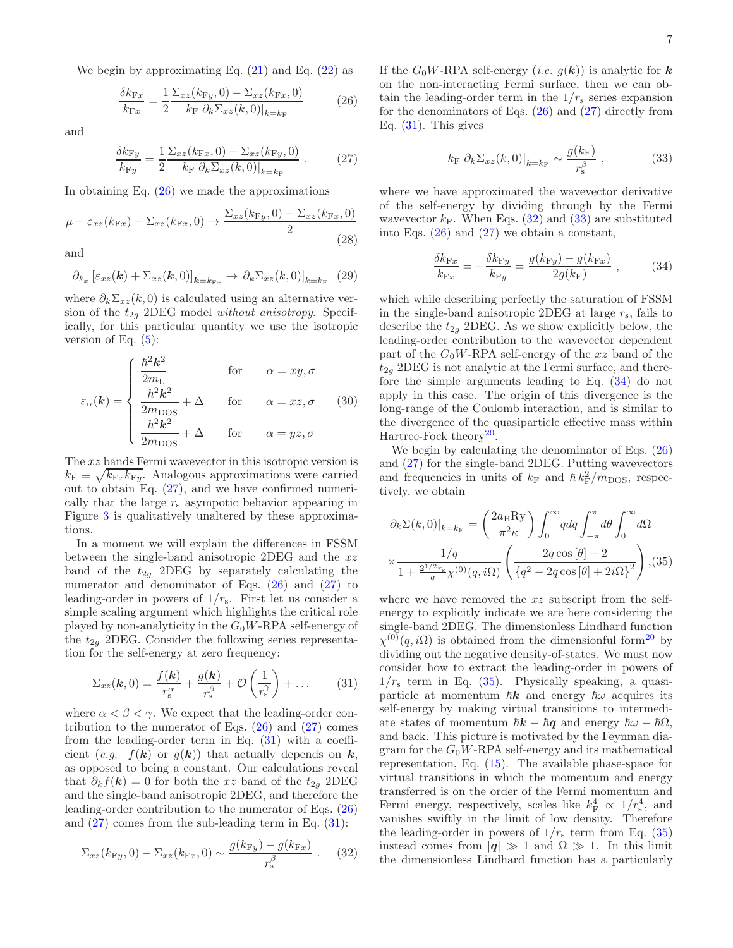We begin by approximating Eq.  $(21)$  and Eq.  $(22)$  as

<span id="page-6-0"></span>
$$
\frac{\delta k_{\mathrm{F}x}}{k_{\mathrm{F}x}} = \frac{1}{2} \frac{\Sigma_{xz}(k_{\mathrm{F}y}, 0) - \Sigma_{xz}(k_{\mathrm{F}x}, 0)}{k_{\mathrm{F}} \partial_k \Sigma_{xz}(k, 0)|_{k=k_{\mathrm{F}}}}
$$
(26)

and

<span id="page-6-1"></span>
$$
\frac{\delta k_{\rm Fy}}{k_{\rm Fy}} = \frac{1}{2} \frac{\Sigma_{xz}(k_{\rm Fx}, 0) - \Sigma_{xz}(k_{\rm Fy}, 0)}{k_{\rm F} \partial_k \Sigma_{xz}(k, 0)|_{k=k_{\rm F}}} \,. \tag{27}
$$

In obtaining Eq.  $(26)$  we made the approximations

$$
\mu - \varepsilon_{xz}(k_{\text{F}x}) - \Sigma_{xz}(k_{\text{F}x}, 0) \to \frac{\Sigma_{xz}(k_{\text{F}y}, 0) - \Sigma_{xz}(k_{\text{F}x}, 0)}{2} \tag{28}
$$

and

$$
\partial_{k_x} \left[ \varepsilon_{xz}(\mathbf{k}) + \Sigma_{xz}(\mathbf{k}, 0) \right]_{\mathbf{k} = k_{\text{F}x}} \to \partial_k \Sigma_{xz}(k, 0) \big|_{k = k_{\text{F}}} \tag{29}
$$

where  $\partial_k \Sigma_{xz}(k,0)$  is calculated using an alternative version of the  $t_{2g}$  2DEG model without anisotropy. Specifically, for this particular quantity we use the isotropic version of Eq.  $(5)$ :

<span id="page-6-7"></span>
$$
\varepsilon_{\alpha}(\mathbf{k}) = \begin{cases}\n\frac{\hbar^2 \mathbf{k}^2}{2m_{\text{L}}} & \text{for} \quad \alpha = xy, \sigma \\
\frac{\hbar^2 \mathbf{k}^2}{2m_{\text{DOS}}} + \Delta & \text{for} \quad \alpha = xz, \sigma \quad (30) \\
\frac{\hbar^2 \mathbf{k}^2}{2m_{\text{DOS}}} + \Delta & \text{for} \quad \alpha = yz, \sigma\n\end{cases}
$$

The xz bands Fermi wavevector in this isotropic version is  $k_{\text{F}} \equiv \sqrt{k_{\text{F}x}k_{\text{F}y}}$ . Analogous approximations were carried out to obtain Eq.  $(27)$ , and we have confirmed numerically that the large  $r_s$  asympotic behavior appearing in Figure [3](#page-5-0) is qualitatively unaltered by these approximations.

In a moment we will explain the differences in FSSM between the single-band anisotropic 2DEG and the  $xz$ band of the  $t_{2q}$  2DEG by separately calculating the numerator and denominator of Eqs. [\(26\)](#page-6-0) and [\(27\)](#page-6-1) to leading-order in powers of  $1/r_s$ . First let us consider a simple scaling argument which highlights the critical role played by non-analyticity in the  $G_0W$ -RPA self-energy of the  $t_{2q}$  2DEG. Consider the following series representation for the self-energy at zero frequency:

<span id="page-6-2"></span>
$$
\Sigma_{xz}(\mathbf{k},0) = \frac{f(\mathbf{k})}{r_s^{\alpha}} + \frac{g(\mathbf{k})}{r_s^{\beta}} + \mathcal{O}\left(\frac{1}{r_s^{\gamma}}\right) + \dots \qquad (31)
$$

where  $\alpha < \beta < \gamma$ . We expect that the leading-order contribution to the numerator of Eqs.  $(26)$  and  $(27)$  comes from the leading-order term in Eq. [\(31\)](#page-6-2) with a coefficient (e.g.  $f(\mathbf{k})$  or  $g(\mathbf{k})$ ) that actually depends on  $\mathbf{k}$ , as opposed to being a constant. Our calculations reveal that  $\partial_k f(\mathbf{k}) = 0$  for both the xz band of the  $t_{2g}$  2DEG and the single-band anisotropic 2DEG, and therefore the leading-order contribution to the numerator of Eqs. [\(26\)](#page-6-0) and [\(27\)](#page-6-1) comes from the sub-leading term in Eq. [\(31\)](#page-6-2):

<span id="page-6-3"></span>
$$
\Sigma_{xz}(k_{\rm Fy}, 0) - \Sigma_{xz}(k_{\rm Fx}, 0) \sim \frac{g(k_{\rm Fy}) - g(k_{\rm Fx})}{r_{\rm s}^{\beta}} \ . \tag{32}
$$

If the  $G_0W$ -RPA self-energy (*i.e.*  $g(\mathbf{k})$ ) is analytic for  $\mathbf{k}$ on the non-interacting Fermi surface, then we can obtain the leading-order term in the  $1/r_s$  series expansion for the denominators of Eqs. [\(26\)](#page-6-0) and [\(27\)](#page-6-1) directly from Eq.  $(31)$ . This gives

<span id="page-6-4"></span>
$$
k_{\rm F} \partial_k \Sigma_{xz}(k,0)|_{k=k_{\rm F}} \sim \frac{g(k_{\rm F})}{r_{\rm s}^{\beta}}\,,\tag{33}
$$

where we have approximated the wavevector derivative of the self-energy by dividing through by the Fermi wavevector  $k_F$ . When Eqs. [\(32\)](#page-6-3) and [\(33\)](#page-6-4) are substituted into Eqs.  $(26)$  and  $(27)$  we obtain a constant,

<span id="page-6-5"></span>
$$
\frac{\delta k_{\text{F}x}}{k_{\text{F}x}} = -\frac{\delta k_{\text{F}y}}{k_{\text{F}y}} = \frac{g(k_{\text{F}y}) - g(k_{\text{F}x})}{2g(k_{\text{F}})},
$$
(34)

which while describing perfectly the saturation of FSSM in the single-band anisotropic 2DEG at large  $r_s$ , fails to describe the  $t_{2g}$  2DEG. As we show explicitly below, the leading-order contribution to the wavevector dependent part of the  $G_0W$ -RPA self-energy of the xz band of the  $t_{2g}$  2DEG is not analytic at the Fermi surface, and therefore the simple arguments leading to Eq. [\(34\)](#page-6-5) do not apply in this case. The origin of this divergence is the long-range of the Coulomb interaction, and is similar to the divergence of the quasiparticle effective mass within Hartree-Fock theory<sup>[20](#page-14-14)</sup>.

We begin by calculating the denominator of Eqs. [\(26\)](#page-6-0) and [\(27\)](#page-6-1) for the single-band 2DEG. Putting wavevectors and frequencies in units of  $k_F$  and  $\hbar k_F^2/m_{\text{DOS}}$ , respectively, we obtain

<span id="page-6-6"></span>
$$
\partial_k \Sigma(k,0)|_{k=k_{\rm F}} = \left(\frac{2a_{\rm B}R{\rm y}}{\pi^2\kappa}\right) \int_0^\infty q dq \int_{-\pi}^{\pi} d\theta \int_0^\infty d\Omega
$$

$$
\times \frac{1/q}{1 + \frac{2^{1/2}r_{\rm s}}{q}\chi^{(0)}(q,i\Omega)} \left(\frac{2q\cos\left[\theta\right]-2}{\left\{q^2 - 2q\cos\left[\theta\right] + 2i\Omega\right\}^2}\right), (35)
$$

where we have removed the  $xz$  subscript from the selfenergy to explicitly indicate we are here considering the single-band 2DEG. The dimensionless Lindhard function  $\chi^{(0)}(q, i\Omega)$  is obtained from the dimensionful form<sup>[20](#page-14-14)</sup> by dividing out the negative density-of-states. We must now consider how to extract the leading-order in powers of  $1/r_s$  term in Eq. [\(35\)](#page-6-6). Physically speaking, a quasiparticle at momentum  $\hbar k$  and energy  $\hbar \omega$  acquires its self-energy by making virtual transitions to intermediate states of momentum  $\hbar \mathbf{k} - \hbar \mathbf{q}$  and energy  $\hbar \omega - \hbar \Omega$ , and back. This picture is motivated by the Feynman diagram for the  $G_0W$ -RPA self-energy and its mathematical representation, Eq. [\(15\)](#page-3-5). The available phase-space for virtual transitions in which the momentum and energy transferred is on the order of the Fermi momentum and Fermi energy, respectively, scales like  $k_{\rm F}^4 \propto 1/r_{\rm s}^4$ , and vanishes swiftly in the limit of low density. Therefore the leading-order in powers of  $1/r_s$  term from Eq. [\(35\)](#page-6-6) instead comes from  $|q| \gg 1$  and  $\Omega \gg 1$ . In this limit the dimensionless Lindhard function has a particularly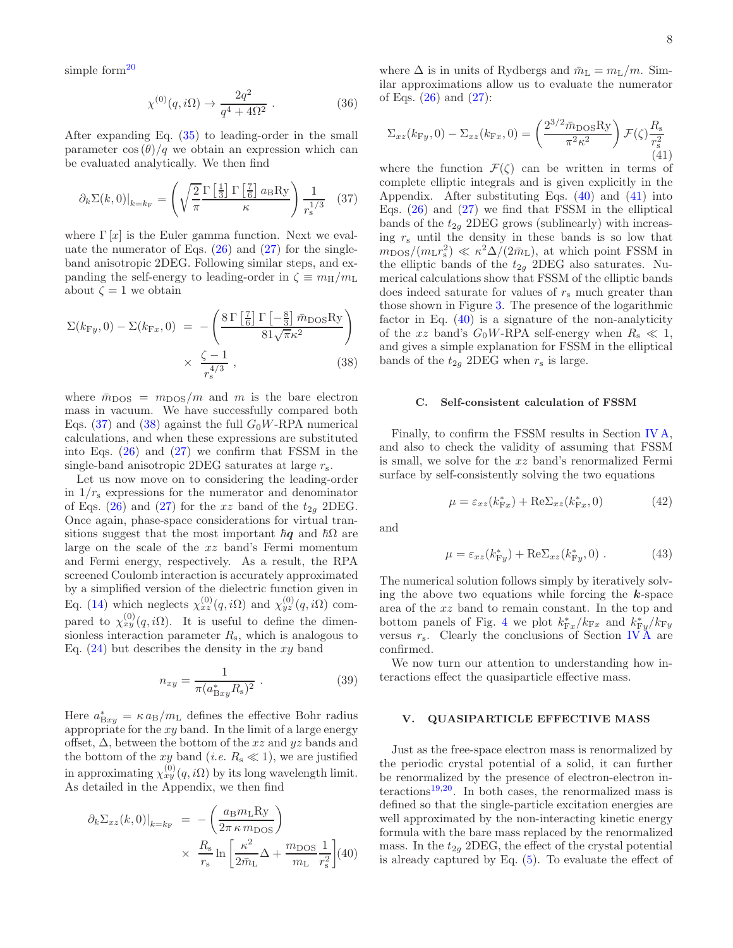simple form $20$ 

$$
\chi^{(0)}(q, i\Omega) \to \frac{2q^2}{q^4 + 4\Omega^2} \ . \tag{36}
$$

After expanding Eq. [\(35\)](#page-6-6) to leading-order in the small parameter  $\cos(\theta)/q$  we obtain an expression which can be evaluated analytically. We then find

<span id="page-7-2"></span>
$$
\partial_k \Sigma(k,0)|_{k=k_{\rm F}} = \left(\sqrt{\frac{2}{\pi}} \frac{\Gamma\left[\frac{1}{3}\right] \Gamma\left[\frac{7}{6}\right] a_{\rm B} R y}{\kappa}\right) \frac{1}{r_{\rm s}^{1/3}} \quad (37)
$$

where  $\Gamma[x]$  is the Euler gamma function. Next we evaluate the numerator of Eqs.  $(26)$  and  $(27)$  for the singleband anisotropic 2DEG. Following similar steps, and expanding the self-energy to leading-order in  $\zeta \equiv m_{\rm H}/m_{\rm L}$ about  $\zeta = 1$  we obtain

<span id="page-7-3"></span>
$$
\Sigma(k_{\text{Fy}}, 0) - \Sigma(k_{\text{Fx}}, 0) = -\left(\frac{8\,\Gamma\left[\frac{7}{6}\right]\Gamma\left[-\frac{8}{3}\right]\bar{m}_{\text{DOS}}R\mathbf{y}}{81\sqrt{\pi}\kappa^2}\right) \times \frac{\zeta - 1}{r_s^{4/3}},\tag{38}
$$

where  $\bar{m}_{\text{DOS}} = m_{\text{DOS}}/m$  and m is the bare electron mass in vacuum. We have successfully compared both Eqs.  $(37)$  and  $(38)$  against the full  $G_0W$ -RPA numerical calculations, and when these expressions are substituted into Eqs. [\(26\)](#page-6-0) and [\(27\)](#page-6-1) we confirm that FSSM in the single-band anisotropic 2DEG saturates at large  $r_s$ .

Let us now move on to considering the leading-order in  $1/r_s$  expressions for the numerator and denominator of Eqs. [\(26\)](#page-6-0) and [\(27\)](#page-6-1) for the xz band of the  $t_{2g}$  2DEG. Once again, phase-space considerations for virtual transitions suggest that the most important  $\hbar q$  and  $\hbar \Omega$  are large on the scale of the xz band's Fermi momentum and Fermi energy, respectively. As a result, the RPA screened Coulomb interaction is accurately approximated by a simplified version of the dielectric function given in Eq. [\(14\)](#page-3-3) which neglects  $\chi_{xz}^{(0)}(q,i\Omega)$  and  $\chi_{yz}^{(0)}(q,i\Omega)$  compared to  $\chi_{xy}^{(0)}(q,i\Omega)$ . It is useful to define the dimensionless interaction parameter  $R_s$ , which is analogous to Eq.  $(24)$  but describes the density in the xy band

<span id="page-7-8"></span>
$$
n_{xy} = \frac{1}{\pi (a_{\text{B}xy}^* R_{\text{s}})^2} \,. \tag{39}
$$

Here  $a_{\text{Bxy}}^* = \kappa a_\text{B}/m_\text{L}$  defines the effective Bohr radius appropriate for the  $xy$  band. In the limit of a large energy offset,  $\Delta$ , between the bottom of the xz and yz bands and the bottom of the xy band (i.e.  $R_s \ll 1$ ), we are justified in approximating  $\chi_{xy}^{(0)}(q, i\Omega)$  by its long wavelength limit. As detailed in the Appendix, we then find

<span id="page-7-4"></span>
$$
\partial_k \Sigma_{xz}(k,0)|_{k=k_F} = -\left(\frac{a_B m_L R y}{2\pi \kappa m_{\text{DOS}}}\right)
$$

$$
\times \frac{R_s}{r_s} \ln \left[\frac{\kappa^2}{2\bar{m}_L} \Delta + \frac{m_{\text{DOS}}}{m_L} \frac{1}{r_s^2}\right](40)
$$

where  $\Delta$  is in units of Rydbergs and  $\bar{m}_{\text{L}} = m_{\text{L}}/m$ . Similar approximations allow us to evaluate the numerator of Eqs. [\(26\)](#page-6-0) and [\(27\)](#page-6-1):

<span id="page-7-5"></span>
$$
\Sigma_{xz}(k_{\text{F}y},0) - \Sigma_{xz}(k_{\text{F}x},0) = \left(\frac{2^{3/2}\bar{m}_{\text{DOS}}R\mathbf{y}}{\pi^2\kappa^2}\right)\mathcal{F}(\zeta)\frac{R_{\text{s}}}{r_{\text{s}}^2} \tag{41}
$$

where the function  $\mathcal{F}(\zeta)$  can be written in terms of complete elliptic integrals and is given explicitly in the Appendix. After substituting Eqs. [\(40\)](#page-7-4) and [\(41\)](#page-7-5) into Eqs.  $(26)$  and  $(27)$  we find that FSSM in the elliptical bands of the  $t_{2g}$  2DEG grows (sublinearly) with increasing  $r_s$  until the density in these bands is so low that  $m_{\text{DOS}}/(m_{\text{L}}r_{\text{s}}^2) \ll \kappa^2 \Delta/(2\bar{m}_{\text{L}})$ , at which point FSSM in the elliptic bands of the  $t_{2g}$  2DEG also saturates. Numerical calculations show that FSSM of the elliptic bands does indeed saturate for values of  $r_s$  much greater than those shown in Figure [3.](#page-5-0) The presence of the logarithmic factor in Eq.  $(40)$  is a signature of the non-analyticity of the xz band's  $G_0W$ -RPA self-energy when  $R_s \ll 1$ , and gives a simple explanation for FSSM in the elliptical bands of the  $t_{2g}$  2DEG when  $r_s$  is large.

#### <span id="page-7-1"></span>C. Self-consistent calculation of FSSM

Finally, to confirm the FSSM results in Section [IV A,](#page-4-3) and also to check the validity of assuming that FSSM is small, we solve for the xz band's renormalized Fermi surface by self-consistently solving the two equations

<span id="page-7-6"></span>
$$
\mu = \varepsilon_{xz}(k_{\mathrm{F}x}^*) + \mathrm{Re}\Sigma_{xz}(k_{\mathrm{F}x}^*, 0) \tag{42}
$$

and

<span id="page-7-7"></span>
$$
\mu = \varepsilon_{xz}(k_{\mathrm{F}y}^*) + \mathrm{Re}\Sigma_{xz}(k_{\mathrm{F}y}^*, 0) \ . \tag{43}
$$

The numerical solution follows simply by iteratively solving the above two equations while forcing the  $k$ -space area of the xz band to remain constant. In the top and bottom panels of Fig. [4](#page-8-0) we plot  $k_{F_x}^*/k_{F_x}$  and  $k_{F_y}^*/k_{F_y}$ versus  $r_s$ . Clearly the conclusions of Section IV  $\AA$  are confirmed.

We now turn our attention to understanding how interactions effect the quasiparticle effective mass.

#### <span id="page-7-0"></span>V. QUASIPARTICLE EFFECTIVE MASS

Just as the free-space electron mass is renormalized by the periodic crystal potential of a solid, it can further be renormalized by the presence of electron-electron in-teractions<sup>[19](#page-14-13)[,20](#page-14-14)</sup>. In both cases, the renormalized mass is defined so that the single-particle excitation energies are well approximated by the non-interacting kinetic energy formula with the bare mass replaced by the renormalized mass. In the  $t_{2g}$  2DEG, the effect of the crystal potential is already captured by Eq.  $(5)$ . To evaluate the effect of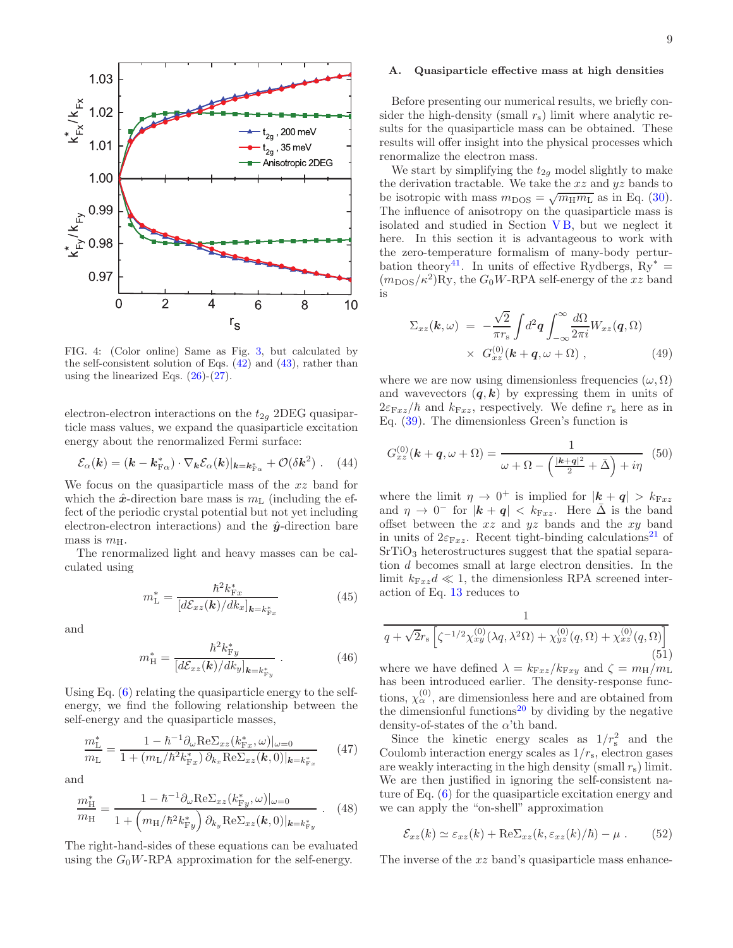

9



<span id="page-8-0"></span>FIG. 4: (Color online) Same as Fig. [3,](#page-5-0) but calculated by the self-consistent solution of Eqs.  $(42)$  and  $(43)$ , rather than using the linearized Eqs.  $(26)-(27)$  $(26)-(27)$ .

electron-electron interactions on the  $t_{2g}$  2DEG quasiparticle mass values, we expand the quasiparticle excitation energy about the renormalized Fermi surface:

$$
\mathcal{E}_{\alpha}(\mathbf{k}) = (\mathbf{k} - \mathbf{k}_{\mathrm{F}\alpha}^{*}) \cdot \nabla_{\mathbf{k}} \mathcal{E}_{\alpha}(\mathbf{k})|_{\mathbf{k} = \mathbf{k}_{\mathrm{F}\alpha}^{*}} + \mathcal{O}(\delta \mathbf{k}^{2}) \ . \tag{44}
$$

We focus on the quasiparticle mass of the xz band for which the  $\hat{x}$ -direction bare mass is  $m<sub>L</sub>$  (including the effect of the periodic crystal potential but not yet including electron-electron interactions) and the  $\hat{y}$ -direction bare mass is  $m_{\rm H}$ .

The renormalized light and heavy masses can be calculated using

$$
m_{\rm L}^* = \frac{\hbar^2 k_{\rm Fx}^*}{[d\mathcal{E}_{xz}(\mathbf{k})/dk_x]_{\mathbf{k} = k_{\rm Fx}^*}}
$$
(45)

and

$$
m_{\rm H}^* = \frac{\hbar^2 k_{\rm Fy}^*}{\left[d\mathcal{E}_{xz}(\mathbf{k})/dk_y\right]_{\mathbf{k}=k_{\rm Fy}^*}} \ . \tag{46}
$$

Using Eq. [\(6\)](#page-2-2) relating the quasiparticle energy to the selfenergy, we find the following relationship between the self-energy and the quasiparticle masses,

<span id="page-8-3"></span>
$$
\frac{m_{\rm L}^*}{m_{\rm L}} = \frac{1 - \hbar^{-1} \partial_{\omega} \text{Re} \Sigma_{xz} (k_{\rm F}^* \omega)|_{\omega=0}}{1 + (m_{\rm L}/\hbar^2 k_{\rm Fx}^*) \partial_{k_x} \text{Re} \Sigma_{xz} (\mathbf{k}, 0)|_{\mathbf{k} = k_{\rm Fx}^*}} \tag{47}
$$

and

<span id="page-8-4"></span>
$$
\frac{m_{\rm H}^*}{m_{\rm H}} = \frac{1 - \hbar^{-1} \partial_{\omega} \text{Re} \Sigma_{xz} (k_{\rm Fy}^*, \omega) |_{\omega=0}}{1 + \left( m_{\rm H} / \hbar^2 k_{\rm Fy}^* \right) \partial_{k_y} \text{Re} \Sigma_{xz} (\boldsymbol{k}, 0) |_{\boldsymbol{k} = k_{\rm Fy}^*}} \ . \tag{48}
$$

The right-hand-sides of these equations can be evaluated using the  $G_0W$ -RPA approximation for the self-energy.

## <span id="page-8-2"></span>A. Quasiparticle effective mass at high densities

Before presenting our numerical results, we briefly consider the high-density (small  $r_s$ ) limit where analytic results for the quasiparticle mass can be obtained. These results will offer insight into the physical processes which renormalize the electron mass.

We start by simplifying the  $t_{2g}$  model slightly to make the derivation tractable. We take the  $xz$  and  $yz$  bands to be isotropic with mass  $m_{\text{DOS}} = \sqrt{m_{\text{H}} m_{\text{L}}}$  as in Eq. [\(30\)](#page-6-7). The influence of anisotropy on the quasiparticle mass is isolated and studied in Section  $VB$ , but we neglect it here. In this section it is advantageous to work with the zero-temperature formalism of many-body pertur-bation theory<sup>[41](#page-14-33)</sup>. In units of effective Rydbergs,  $Ry^* =$  $(m_{\text{DOS}}/\kappa^2)$ Ry, the  $G_0W$ -RPA self-energy of the xz band is

<span id="page-8-1"></span>
$$
\Sigma_{xz}(\mathbf{k}, \omega) = -\frac{\sqrt{2}}{\pi r_s} \int d^2 \mathbf{q} \int_{-\infty}^{\infty} \frac{d\Omega}{2\pi i} W_{xz}(\mathbf{q}, \Omega) \times G_{xz}^{(0)}(\mathbf{k} + \mathbf{q}, \omega + \Omega) , \qquad (49)
$$

where we are now using dimensionless frequencies  $(\omega, \Omega)$ and wavevectors  $(q, k)$  by expressing them in units of  $2\varepsilon_{\text{F}xz}/\hbar$  and  $k_{\text{F}xz}$ , respectively. We define  $r_s$  here as in Eq. [\(39\)](#page-7-8). The dimensionless Green's function is

$$
G_{xz}^{(0)}(\mathbf{k}+\mathbf{q},\omega+\Omega) = \frac{1}{\omega+\Omega-\left(\frac{|\mathbf{k}+\mathbf{q}|^2}{2}+\bar{\Delta}\right)+i\eta}
$$
(50)

where the limit  $\eta \to 0^+$  is implied for  $|\mathbf{k} + \mathbf{q}| > k_{\text{F}xz}$ and  $\eta \to 0^-$  for  $|\mathbf{k} + \mathbf{q}| < k_{Fxz}$ . Here  $\bar{\Delta}$  is the band offset between the  $xz$  and  $yz$  bands and the  $xy$  band in units of  $2\varepsilon_{\text{F}xz}$ . Recent tight-binding calculations<sup>[21](#page-14-15)</sup> of SrTiO<sub>3</sub> heterostructures suggest that the spatial separation d becomes small at large electron densities. In the limit  $k_{Fxz}d \ll 1$ , the dimensionless RPA screened interaction of Eq. [13](#page-3-0) reduces to

$$
\frac{1}{q + \sqrt{2}r_s \left[ \zeta^{-1/2} \chi_{xy}^{(0)}(\lambda q, \lambda^2 \Omega) + \chi_{yz}^{(0)}(q, \Omega) + \chi_{xz}^{(0)}(q, \Omega) \right]}
$$
(51)

where we have defined  $\lambda = k_{Fxz}/k_{Fxy}$  and  $\zeta = m_H/m_L$ has been introduced earlier. The density-response functions,  $\chi_{\alpha}^{(0)}$ , are dimensionless here and are obtained from the dimensionful functions<sup>[20](#page-14-14)</sup> by dividing by the negative density-of-states of the  $\alpha'$ th band.

Since the kinetic energy scales as  $1/r_s^2$  and the Coulomb interaction energy scales as  $1/r_s$ , electron gases are weakly interacting in the high density (small  $r_s$ ) limit. We are then justified in ignoring the self-consistent nature of Eq. [\(6\)](#page-2-2) for the quasiparticle excitation energy and we can apply the "on-shell" approximation

$$
\mathcal{E}_{xz}(k) \simeq \varepsilon_{xz}(k) + \text{Re}\Sigma_{xz}(k, \varepsilon_{xz}(k)/\hbar) - \mu . \qquad (52)
$$

The inverse of the xz band's quasiparticle mass enhance-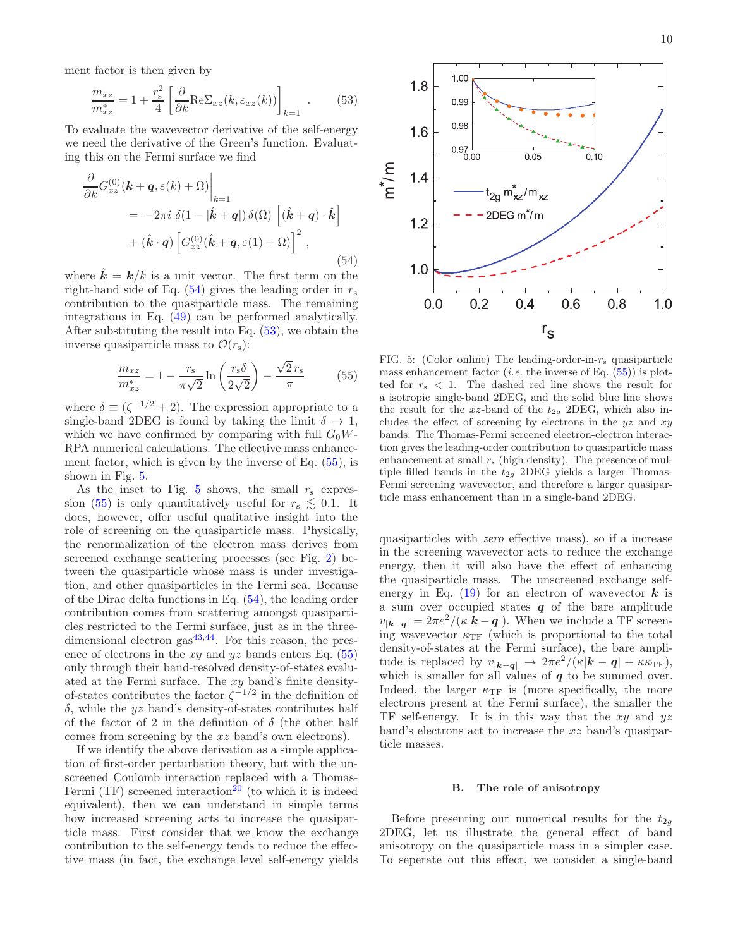ment factor is then given by

<span id="page-9-2"></span>
$$
\frac{m_{xz}}{m_{xz}^*} = 1 + \frac{r_s^2}{4} \left[ \frac{\partial}{\partial k} \text{Re} \Sigma_{xz}(k, \varepsilon_{xz}(k)) \right]_{k=1} . \tag{53}
$$

To evaluate the wavevector derivative of the self-energy we need the derivative of the Green's function. Evaluating this on the Fermi surface we find

<span id="page-9-1"></span>
$$
\frac{\partial}{\partial k} G_{xz}^{(0)}(\mathbf{k} + \mathbf{q}, \varepsilon(k) + \Omega) \Big|_{k=1}
$$
\n
$$
= -2\pi i \delta(1 - |\hat{\mathbf{k}} + \mathbf{q}|) \delta(\Omega) \left[ (\hat{\mathbf{k}} + \mathbf{q}) \cdot \hat{\mathbf{k}} \right]
$$
\n
$$
+ (\hat{\mathbf{k}} \cdot \mathbf{q}) \left[ G_{xz}^{(0)}(\hat{\mathbf{k}} + \mathbf{q}, \varepsilon(1) + \Omega) \right]^2 ,
$$
\n(54)

where  $\hat{k} = k/k$  is a unit vector. The first term on the right-hand side of Eq.  $(54)$  gives the leading order in  $r_s$ contribution to the quasiparticle mass. The remaining integrations in Eq. [\(49\)](#page-8-1) can be performed analytically. After substituting the result into Eq.  $(53)$ , we obtain the inverse quasiparticle mass to  $\mathcal{O}(r_s)$ :

<span id="page-9-3"></span>
$$
\frac{m_{xz}}{m_{xz}^*} = 1 - \frac{r_s}{\pi\sqrt{2}} \ln\left(\frac{r_s\delta}{2\sqrt{2}}\right) - \frac{\sqrt{2}r_s}{\pi} \tag{55}
$$

where  $\delta \equiv (\zeta^{-1/2} + 2)$ . The expression appropriate to a single-band 2DEG is found by taking the limit  $\delta \rightarrow 1$ , which we have confirmed by comparing with full  $G_0W$ -RPA numerical calculations. The effective mass enhancement factor, which is given by the inverse of Eq. [\(55\)](#page-9-3), is shown in Fig. [5.](#page-9-4)

As the inset to Fig. [5](#page-9-4) shows, the small  $r_s$  expres-sion [\(55\)](#page-9-3) is only quantitatively useful for  $r_s \lesssim 0.1$ . It does, however, offer useful qualitative insight into the role of screening on the quasiparticle mass. Physically, the renormalization of the electron mass derives from screened exchange scattering processes (see Fig. [2\)](#page-3-4) between the quasiparticle whose mass is under investigation, and other quasiparticles in the Fermi sea. Because of the Dirac delta functions in Eq. [\(54\)](#page-9-1), the leading order contribution comes from scattering amongst quasiparticles restricted to the Fermi surface, just as in the threedimensional electron  $\text{gas}^{43,44}$  $\text{gas}^{43,44}$  $\text{gas}^{43,44}$  $\text{gas}^{43,44}$ . For this reason, the presence of electrons in the  $xy$  and  $yz$  bands enters Eq. [\(55\)](#page-9-3) only through their band-resolved density-of-states evaluated at the Fermi surface. The xy band's finite densityof-states contributes the factor  $\zeta^{-1/2}$  in the definition of  $\delta$ , while the yz band's density-of-states contributes half of the factor of 2 in the definition of  $\delta$  (the other half comes from screening by the xz band's own electrons).

If we identify the above derivation as a simple application of first-order perturbation theory, but with the unscreened Coulomb interaction replaced with a Thomas-Fermi  $(TF)$  screened interaction<sup>[20](#page-14-14)</sup> (to which it is indeed equivalent), then we can understand in simple terms how increased screening acts to increase the quasiparticle mass. First consider that we know the exchange contribution to the self-energy tends to reduce the effective mass (in fact, the exchange level self-energy yields



<span id="page-9-4"></span>FIG. 5: (Color online) The leading-order-in- $r_s$  quasiparticle mass enhancement factor (*i.e.* the inverse of Eq.  $(55)$ ) is plotted for  $r_s < 1$ . The dashed red line shows the result for a isotropic single-band 2DEG, and the solid blue line shows the result for the xz-band of the  $t_{2q}$  2DEG, which also includes the effect of screening by electrons in the  $yz$  and  $xy$ bands. The Thomas-Fermi screened electron-electron interaction gives the leading-order contribution to quasiparticle mass enhancement at small  $r<sub>s</sub>$  (high density). The presence of multiple filled bands in the  $t_{2g}$  2DEG yields a larger Thomas-Fermi screening wavevector, and therefore a larger quasiparticle mass enhancement than in a single-band 2DEG.

quasiparticles with zero effective mass), so if a increase in the screening wavevector acts to reduce the exchange energy, then it will also have the effect of enhancing the quasiparticle mass. The unscreened exchange self-energy in Eq. [\(19\)](#page-4-2) for an electron of wavevector  $\boldsymbol{k}$  is a sum over occupied states  $q$  of the bare amplitude  $v_{|\mathbf{k}-\mathbf{q}|} = 2\pi e^2/(\kappa |\mathbf{k}-\mathbf{q}|)$ . When we include a TF screening wavevector  $\kappa_{\text{TF}}$  (which is proportional to the total density-of-states at the Fermi surface), the bare amplitude is replaced by  $v_{|\mathbf{k}-\mathbf{q}|} \to 2\pi e^2/(\kappa|\mathbf{k}-\mathbf{q}| + \kappa \kappa_{\text{TF}}),$ which is smaller for all values of  $q$  to be summed over. Indeed, the larger  $\kappa_{\text{TF}}$  is (more specifically, the more electrons present at the Fermi surface), the smaller the TF self-energy. It is in this way that the  $xy$  and  $yz$ band's electrons act to increase the xz band's quasiparticle masses.

#### <span id="page-9-0"></span>B. The role of anisotropy

Before presenting our numerical results for the  $t_{2g}$ 2DEG, let us illustrate the general effect of band anisotropy on the quasiparticle mass in a simpler case. To seperate out this effect, we consider a single-band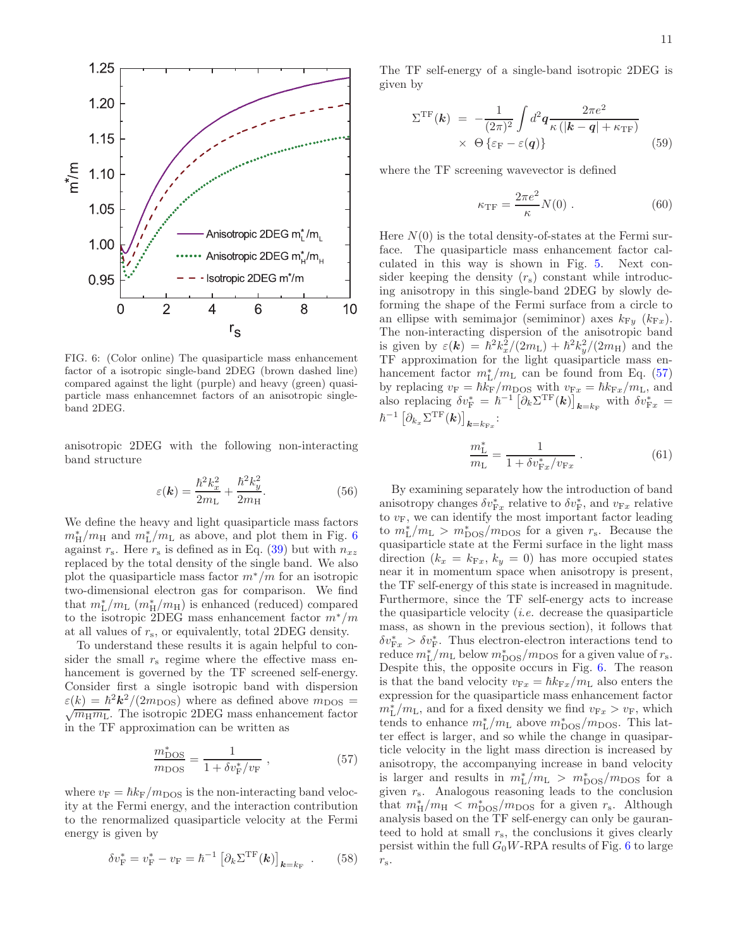

<span id="page-10-0"></span>FIG. 6: (Color online) The quasiparticle mass enhancement factor of a isotropic single-band 2DEG (brown dashed line) compared against the light (purple) and heavy (green) quasiparticle mass enhancemnet factors of an anisotropic singleband 2DEG.

anisotropic 2DEG with the following non-interacting band structure

<span id="page-10-2"></span>
$$
\varepsilon(\mathbf{k}) = \frac{\hbar^2 k_x^2}{2m_\text{L}} + \frac{\hbar^2 k_y^2}{2m_\text{H}}.\tag{56}
$$

We define the heavy and light quasiparticle mass factors  $m_{\rm H}^*/m_{\rm H}$  and  $m_{\rm L}^*/m_{\rm L}$  as above, and plot them in Fig. [6](#page-10-0) against  $r_s$ . Here  $r_s$  is defined as in Eq. [\(39\)](#page-7-8) but with  $n_{xz}$ replaced by the total density of the single band. We also plot the quasiparticle mass factor  $m^*/m$  for an isotropic two-dimensional electron gas for comparison. We find that  $m_{\text{L}}^{*}/m_{\text{L}}$  ( $m_{\text{H}}^{*}/m_{\text{H}}$ ) is enhanced (reduced) compared to the isotropic 2DEG mass enhancement factor  $m^*/m$ at all values of  $r_s$ , or equivalently, total 2DEG density.

To understand these results it is again helpful to consider the small  $r_s$  regime where the effective mass enhancement is governed by the TF screened self-energy. Consider first a single isotropic band with dispersion  $\varepsilon(k) = \hbar^2 k$  $\sqrt{m_{\text{H}}m_{\text{L}}}$ . The isotropic 2DEG mass enhancement factor in the TF approximation can be written as

<span id="page-10-1"></span>
$$
\frac{m_{\text{DOS}}^*}{m_{\text{DOS}}} = \frac{1}{1 + \delta v_{\text{F}}^*/v_{\text{F}}},\tag{57}
$$

where  $v_F = \hbar k_F/m_{\text{DOS}}$  is the non-interacting band velocity at the Fermi energy, and the interaction contribution to the renormalized quasiparticle velocity at the Fermi energy is given by

$$
\delta v_{\rm F}^* = v_{\rm F}^* - v_{\rm F} = \hbar^{-1} \left[ \partial_k \Sigma^{\rm TF}(\mathbf{k}) \right]_{\mathbf{k} = k_{\rm F}} \ . \tag{58}
$$

The TF self-energy of a single-band isotropic 2DEG is given by

$$
\Sigma^{\rm TF}(\mathbf{k}) = -\frac{1}{(2\pi)^2} \int d^2 \mathbf{q} \frac{2\pi e^2}{\kappa \left( |\mathbf{k} - \mathbf{q}| + \kappa_{\rm TF} \right)} \times \Theta \left\{ \varepsilon_{\rm F} - \varepsilon(\mathbf{q}) \right\} \tag{59}
$$

where the TF screening wavevector is defined

$$
\kappa_{\rm TF} = \frac{2\pi e^2}{\kappa} N(0) \ . \tag{60}
$$

Here  $N(0)$  is the total density-of-states at the Fermi surface. The quasiparticle mass enhancement factor calculated in this way is shown in Fig. [5.](#page-9-4) Next consider keeping the density  $(r<sub>s</sub>)$  constant while introducing anisotropy in this single-band 2DEG by slowly deforming the shape of the Fermi surface from a circle to an ellipse with semimajor (semiminor) axes  $k_{F_y}$  ( $k_{F_x}$ ). The non-interacting dispersion of the anisotropic band is given by  $\varepsilon(\mathbf{k}) = \hbar^2 k_x^2/(2m_{\rm L}) + \hbar^2 k_y^2/(2m_{\rm H})$  and the TF approximation for the light quasiparticle mass enhancement factor  $m_{\text{L}}^{*}/m_{\text{L}}$  can be found from Eq. [\(57\)](#page-10-1) by replacing  $v_F = \hbar k_F/m_{\text{DOS}}$  with  $v_{Fx} = \hbar k_{Fx}/m_L$ , and also replacing  $\delta v_{\rm F}^* = \hbar^{-1} \left[ \partial_k \Sigma^{\rm TF}({\bf k}) \right]_{{\bf k} = k_{\rm F}}$  with  $\delta v_{\rm Fx}^* =$  $\hbar^{-1}\left[\partial_{k_x}\Sigma^{\rm TF}(\boldsymbol{k})\right]_{\boldsymbol{k}=\boldsymbol{k}_{\mathrm{F}x}}\!\!:$ 

$$
\frac{m_{\rm L}^*}{m_{\rm L}} = \frac{1}{1 + \delta v_{\rm Fx}^*/v_{\rm Fx}} \ . \tag{61}
$$

By examining separately how the introduction of band anisotropy changes  $\delta v_{\mathrm{F}x}^*$  relative to  $\delta v_{\mathrm{F}}^*$ , and  $v_{\mathrm{F}x}$  relative to  $v_F$ , we can identify the most important factor leading to  $m_{\text{L}}^{*}/m_{\text{L}} > m_{\text{DOS}}^{*}/m_{\text{DOS}}$  for a given  $r_{\text{s}}$ . Because the quasiparticle state at the Fermi surface in the light mass direction  $(k_x = k_{Fx}, k_y = 0)$  has more occupied states near it in momentum space when anisotropy is present, the TF self-energy of this state is increased in magnitude. Furthermore, since the TF self-energy acts to increase the quasiparticle velocity  $(i.e.$  decrease the quasiparticle mass, as shown in the previous section), it follows that  $\delta v_{\text{F}x}^* > \delta v_{\text{F}}^*$ . Thus electron-electron interactions tend to reduce  $m^*_{\text{L}}/m_{\text{L}}$  below  $m^*_{\text{DOS}}/m_{\text{DOS}}$  for a given value of  $r_{\text{s}}$ . Despite this, the opposite occurs in Fig. [6.](#page-10-0) The reason is that the band velocity  $v_{Fx} = \hbar k_{Fx}/m_{L}$  also enters the expression for the quasiparticle mass enhancement factor  $m^*_{\rm L}/m_{\rm L}$ , and for a fixed density we find  $v_{\rm Fx} > v_{\rm F}$ , which tends to enhance  $m^*_{\rm L}/m_{\rm L}$  above  $m^*_{\rm DOS}/m_{\rm DOS}$ . This latter effect is larger, and so while the change in quasiparticle velocity in the light mass direction is increased by anisotropy, the accompanying increase in band velocity is larger and results in  $m^*_{\text{L}}/m_{\text{L}} > m^*_{\text{DOS}}/m_{\text{DOS}}$  for a given  $r_s$ . Analogous reasoning leads to the conclusion that  $m_{\rm H}^*/m_{\rm H} < m_{\rm DOS}^*/m_{\rm DOS}$  for a given  $r_{\rm s}$ . Although analysis based on the TF self-energy can only be gauranteed to hold at small  $r_s$ , the conclusions it gives clearly persist within the full  $G_0W$ -RPA results of Fig. [6](#page-10-0) to large  $r_{\rm s}.$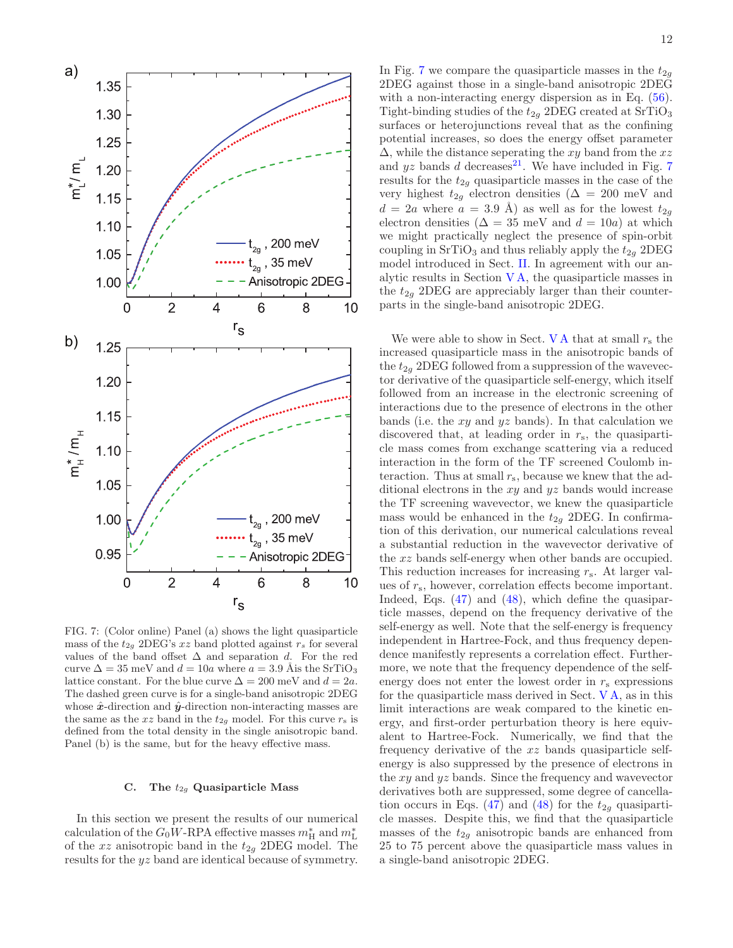

<span id="page-11-0"></span>FIG. 7: (Color online) Panel (a) shows the light quasiparticle mass of the  $t_{2g}$  2DEG's xz band plotted against  $r_s$  for several values of the band offset  $\Delta$  and separation d. For the red curve  $\Delta = 35$  meV and  $d = 10a$  where  $a = 3.9$  Åis the SrTiO<sub>3</sub> lattice constant. For the blue curve  $\Delta = 200$  meV and  $d = 2a$ . The dashed green curve is for a single-band anisotropic 2DEG whose  $\hat{x}$ -direction and  $\hat{y}$ -direction non-interacting masses are the same as the xz band in the  $t_{2g}$  model. For this curve  $r_s$  is defined from the total density in the single anisotropic band. Panel (b) is the same, but for the heavy effective mass.

## C. The  $t_{2g}$  Quasiparticle Mass

In this section we present the results of our numerical calculation of the  $G_0W$ -RPA effective masses  $m_H^*$  and  $m_L^*$ of the xz anisotropic band in the  $t_{2g}$  2DEG model. The results for the yz band are identical because of symmetry.

In Fig. [7](#page-11-0) we compare the quasiparticle masses in the  $t_{2g}$ 2DEG against those in a single-band anisotropic 2DEG with a non-interacting energy dispersion as in Eq. [\(56\)](#page-10-2). Tight-binding studies of the  $t_{2q}$  2DEG created at SrTiO<sub>3</sub> surfaces or heterojunctions reveal that as the confining potential increases, so does the energy offset parameter  $\Delta$ , while the distance seperating the xy band from the xz and  $yz$  bands d decreases<sup>[21](#page-14-15)</sup>. We have included in Fig. [7](#page-11-0) results for the  $t_{2g}$  quasiparticle masses in the case of the very highest  $t_{2g}$  electron densities ( $\Delta = 200$  meV and  $d = 2a$  where  $a = 3.9$  Å) as well as for the lowest  $t_{2g}$ electron densities ( $\Delta = 35$  meV and  $d = 10a$ ) at which we might practically neglect the presence of spin-orbit coupling in  $SrTiO<sub>3</sub>$  and thus reliably apply the  $t_{2g}$  2DEG model introduced in Sect. [II.](#page-1-0) In agreement with our analytic results in Section [V A,](#page-8-2) the quasiparticle masses in the  $t_{2g}$  2DEG are appreciably larger than their counterparts in the single-band anisotropic 2DEG.

We were able to show in Sect. [V A](#page-8-2) that at small  $r_s$  the increased quasiparticle mass in the anisotropic bands of the  $t_{2g}$  2DEG followed from a suppression of the wavevector derivative of the quasiparticle self-energy, which itself followed from an increase in the electronic screening of interactions due to the presence of electrons in the other bands (i.e. the  $xy$  and  $yz$  bands). In that calculation we discovered that, at leading order in  $r<sub>s</sub>$ , the quasiparticle mass comes from exchange scattering via a reduced interaction in the form of the TF screened Coulomb interaction. Thus at small  $r_s$ , because we knew that the additional electrons in the  $xy$  and  $yz$  bands would increase the TF screening wavevector, we knew the quasiparticle mass would be enhanced in the  $t_{2g}$  2DEG. In confirmation of this derivation, our numerical calculations reveal a substantial reduction in the wavevector derivative of the xz bands self-energy when other bands are occupied. This reduction increases for increasing  $r<sub>s</sub>$ . At larger values of  $r_s$ , however, correlation effects become important. Indeed, Eqs. [\(47\)](#page-8-3) and [\(48\)](#page-8-4), which define the quasiparticle masses, depend on the frequency derivative of the self-energy as well. Note that the self-energy is frequency independent in Hartree-Fock, and thus frequency dependence manifestly represents a correlation effect. Furthermore, we note that the frequency dependence of the selfenergy does not enter the lowest order in  $r<sub>s</sub>$  expressions for the quasiparticle mass derived in Sect. [V A,](#page-8-2) as in this limit interactions are weak compared to the kinetic energy, and first-order perturbation theory is here equivalent to Hartree-Fock. Numerically, we find that the frequency derivative of the xz bands quasiparticle selfenergy is also suppressed by the presence of electrons in the  $xy$  and  $yz$  bands. Since the frequency and wavevector derivatives both are suppressed, some degree of cancella-tion occurs in Eqs. [\(47\)](#page-8-3) and [\(48\)](#page-8-4) for the  $t_{2g}$  quasiparticle masses. Despite this, we find that the quasiparticle masses of the  $t_{2g}$  anisotropic bands are enhanced from 25 to 75 percent above the quasiparticle mass values in a single-band anisotropic 2DEG.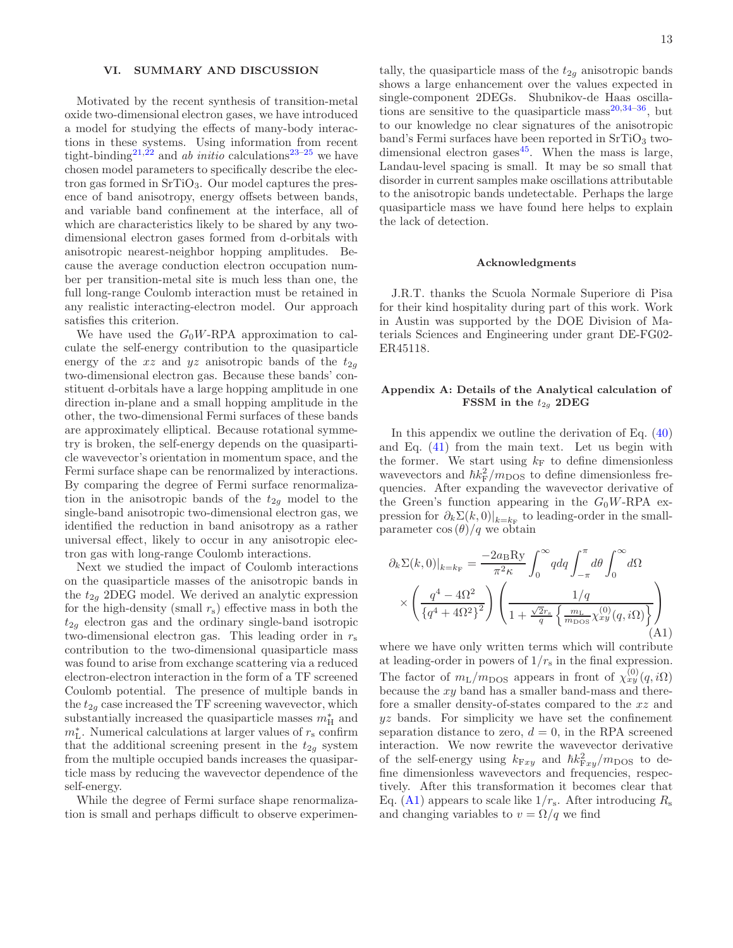## <span id="page-12-0"></span>VI. SUMMARY AND DISCUSSION

Motivated by the recent synthesis of transition-metal oxide two-dimensional electron gases, we have introduced a model for studying the effects of many-body interactions in these systems. Using information from recent tight-binding<sup>[21](#page-14-15)[,22](#page-14-16)</sup> and *ab initio* calculations<sup>[23](#page-14-17)[–25](#page-14-18)</sup> we have chosen model parameters to specifically describe the electron gas formed in  $SrTiO<sub>3</sub>$ . Our model captures the presence of band anisotropy, energy offsets between bands, and variable band confinement at the interface, all of which are characteristics likely to be shared by any twodimensional electron gases formed from d-orbitals with anisotropic nearest-neighbor hopping amplitudes. Because the average conduction electron occupation number per transition-metal site is much less than one, the full long-range Coulomb interaction must be retained in any realistic interacting-electron model. Our approach satisfies this criterion.

We have used the  $G_0W$ -RPA approximation to calculate the self-energy contribution to the quasiparticle energy of the xz and yz anisotropic bands of the  $t_{2g}$ two-dimensional electron gas. Because these bands' constituent d-orbitals have a large hopping amplitude in one direction in-plane and a small hopping amplitude in the other, the two-dimensional Fermi surfaces of these bands are approximately elliptical. Because rotational symmetry is broken, the self-energy depends on the quasiparticle wavevector's orientation in momentum space, and the Fermi surface shape can be renormalized by interactions. By comparing the degree of Fermi surface renormalization in the anisotropic bands of the  $t_{2g}$  model to the single-band anisotropic two-dimensional electron gas, we identified the reduction in band anisotropy as a rather universal effect, likely to occur in any anisotropic electron gas with long-range Coulomb interactions.

Next we studied the impact of Coulomb interactions on the quasiparticle masses of the anisotropic bands in the  $t_{2g}$  2DEG model. We derived an analytic expression for the high-density (small  $r_s$ ) effective mass in both the  $t_{2g}$  electron gas and the ordinary single-band isotropic two-dimensional electron gas. This leading order in  $r<sub>s</sub>$ contribution to the two-dimensional quasiparticle mass was found to arise from exchange scattering via a reduced electron-electron interaction in the form of a TF screened Coulomb potential. The presence of multiple bands in the  $t_{2g}$  case increased the TF screening wavevector, which substantially increased the quasiparticle masses  $m_{\rm H}^*$  and  $m^*_{\textrm{L}}$ . Numerical calculations at larger values of  $r_{\textrm{s}}$  confirm that the additional screening present in the  $t_{2g}$  system from the multiple occupied bands increases the quasiparticle mass by reducing the wavevector dependence of the self-energy.

While the degree of Fermi surface shape renormalization is small and perhaps difficult to observe experimen-

tally, the quasiparticle mass of the  $t_{2g}$  anisotropic bands shows a large enhancement over the values expected in single-component 2DEGs. Shubnikov-de Haas oscillations are sensitive to the quasiparticle mass  $20,34-36$  $20,34-36$  $20,34-36$ , but to our knowledge no clear signatures of the anisotropic band's Fermi surfaces have been reported in  $SrTiO<sub>3</sub>$  two-dimensional electron gases<sup>[45](#page-14-37)</sup>. When the mass is large, Landau-level spacing is small. It may be so small that disorder in current samples make oscillations attributable to the anisotropic bands undetectable. Perhaps the large quasiparticle mass we have found here helps to explain the lack of detection.

#### Acknowledgments

J.R.T. thanks the Scuola Normale Superiore di Pisa for their kind hospitality during part of this work. Work in Austin was supported by the DOE Division of Materials Sciences and Engineering under grant DE-FG02- ER45118.

### Appendix A: Details of the Analytical calculation of FSSM in the  $t_{2g}$  2DEG

In this appendix we outline the derivation of Eq. [\(40\)](#page-7-4) and Eq. [\(41\)](#page-7-5) from the main text. Let us begin with the former. We start using  $k_F$  to define dimensionless wavevectors and  $\hbar k_{\rm F}^2/m_{\rm DOS}$  to define dimensionless frequencies. After expanding the wavevector derivative of the Green's function appearing in the  $G_0W$ -RPA expression for  $\partial_k \Sigma(k,0)|_{k=k_F}$  to leading-order in the smallparameter  $\cos(\theta)/q$  we obtain

<span id="page-12-1"></span>
$$
\partial_k \Sigma(k,0)|_{k=k_{\rm F}} = \frac{-2a_{\rm B}R\mathbf{y}}{\pi^2 \kappa} \int_0^\infty q dq \int_{-\pi}^\pi d\theta \int_0^\infty d\Omega
$$

$$
\times \left(\frac{q^4 - 4\Omega^2}{\{q^4 + 4\Omega^2\}^2}\right) \left(\frac{1/q}{1 + \frac{\sqrt{2}r_{\rm s}}{q} \left\{\frac{m_{\rm L}}{m_{\rm DOS}}\chi_{xy}^{(0)}(q,i\Omega)\right\}}\right)
$$
(A1)

where we have only written terms which will contribute at leading-order in powers of  $1/r_s$  in the final expression. The factor of  $m_{\rm L}/m_{\rm DOS}$  appears in front of  $\chi_{xy}^{(0)}(q,i\Omega)$ because the xy band has a smaller band-mass and therefore a smaller density-of-states compared to the xz and  $yz$  bands. For simplicity we have set the confinement separation distance to zero,  $d = 0$ , in the RPA screened interaction. We now rewrite the wavevector derivative of the self-energy using  $k_{Fxy}$  and  $\hbar k_{Fxy}^2/m_{\text{DOS}}$  to define dimensionless wavevectors and frequencies, respectively. After this transformation it becomes clear that Eq. [\(A1\)](#page-12-1) appears to scale like  $1/r_s$ . After introducing  $R_s$ and changing variables to  $v = \Omega/q$  we find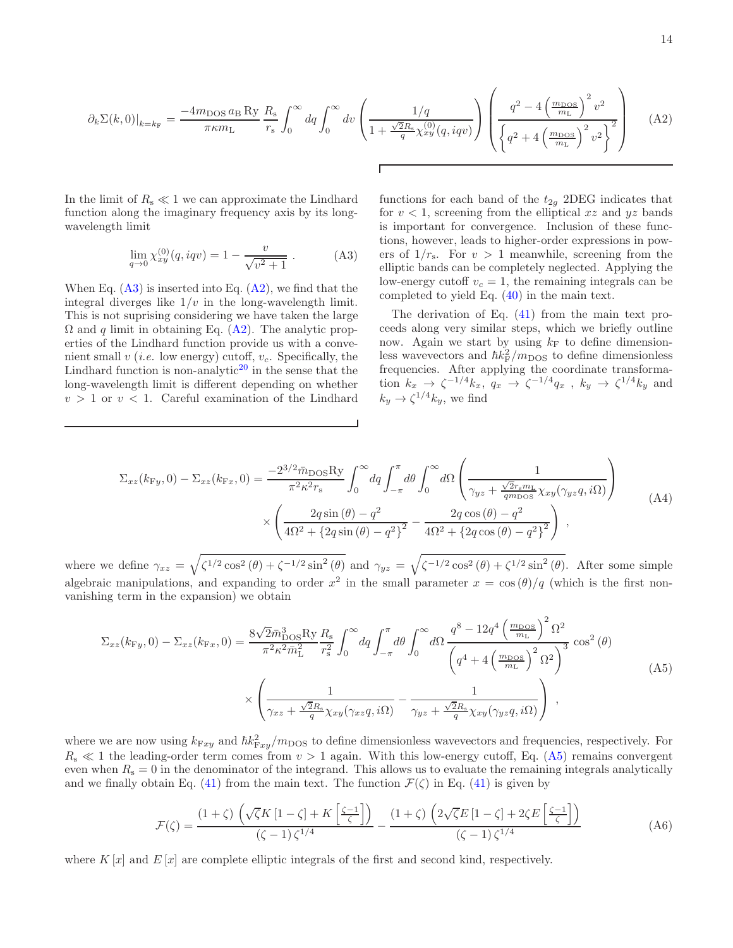<span id="page-13-1"></span>
$$
\partial_k \Sigma(k,0)|_{k=k_{\rm F}} = \frac{-4m_{\rm DOS}a_{\rm B} \, {\rm Ry}}{\pi \kappa m_{\rm L}} \frac{R_{\rm s}}{r_{\rm s}} \int_0^\infty dq \int_0^\infty dv \left( \frac{1/q}{1 + \frac{\sqrt{2}R_{\rm s}}{q} \chi_{xy}^{(0)}(q,iqv)} \right) \left( \frac{q^2 - 4\left(\frac{m_{\rm DOS}}{m_{\rm L}}\right)^2 v^2}{\left\{q^2 + 4\left(\frac{m_{\rm DOS}}{m_{\rm L}}\right)^2 v^2\right\}} \right) \tag{A2}
$$

In the limit of  $R_s \ll 1$  we can approximate the Lindhard function along the imaginary frequency axis by its longwavelength limit

<span id="page-13-0"></span>
$$
\lim_{q \to 0} \chi_{xy}^{(0)}(q, iqv) = 1 - \frac{v}{\sqrt{v^2 + 1}}.
$$
 (A3)

When Eq.  $(A3)$  is inserted into Eq.  $(A2)$ , we find that the integral diverges like  $1/v$  in the long-wavelength limit. This is not suprising considering we have taken the large  $\Omega$  and q limit in obtaining Eq. [\(A2\)](#page-13-1). The analytic properties of the Lindhard function provide us with a convenient small  $v$  (*i.e.* low energy) cutoff,  $v_c$ . Specifically, the Lindhard function is non-analytic $^{20}$  $^{20}$  $^{20}$  in the sense that the long-wavelength limit is different depending on whether  $v > 1$  or  $v < 1$ . Careful examination of the Lindhard

functions for each band of the  $t_{2g}$  2DEG indicates that for  $v < 1$ , screening from the elliptical x and y z bands is important for convergence. Inclusion of these functions, however, leads to higher-order expressions in powers of  $1/r_s$ . For  $v > 1$  meanwhile, screening from the elliptic bands can be completely neglected. Applying the low-energy cutoff  $v_c = 1$ , the remaining integrals can be completed to yield Eq. [\(40\)](#page-7-4) in the main text.

The derivation of Eq. [\(41\)](#page-7-5) from the main text proceeds along very similar steps, which we briefly outline now. Again we start by using  $k_F$  to define dimensionless wavevectors and  $\hbar k_F^2/m_{\rm DOS}$  to define dimensionless frequencies. After applying the coordinate transformation  $k_x \rightarrow \zeta^{-1/4} k_x$ ,  $q_x \rightarrow \zeta^{-1/4} q_x$ ,  $k_y \rightarrow \zeta^{1/4} k_y$  and  $k_y \rightarrow \zeta^{1/4} k_y$ , we find

$$
\Sigma_{xz}(k_{\text{Fy}},0) - \Sigma_{xz}(k_{\text{Fx}},0) = \frac{-2^{3/2}\bar{m}_{\text{DOS}}R\text{y}}{\pi^2\kappa^2r_{\text{s}}} \int_0^\infty dq \int_{-\pi}^{\pi} d\theta \int_0^\infty d\Omega \left(\frac{1}{\gamma_{yz} + \frac{\sqrt{2}r_{\text{s}}m_{\text{L}}}{q m_{\text{DOS}}} \chi_{xy}(\gamma_{yz}q,i\Omega)}\right) \times \left(\frac{2q\sin(\theta) - q^2}{4\Omega^2 + \left\{2q\sin(\theta) - q^2\right\}^2} - \frac{2q\cos(\theta) - q^2}{4\Omega^2 + \left\{2q\cos(\theta) - q^2\right\}^2}\right),
$$
\n(A4)

where we define  $\gamma_{xz} = \sqrt{\zeta^{1/2} \cos^2(\theta) + \zeta^{-1/2} \sin^2(\theta)}$  and  $\gamma_{yz} = \sqrt{\zeta^{-1/2} \cos^2(\theta) + \zeta^{1/2} \sin^2(\theta)}$ . After some simple algebraic manipulations, and expanding to order  $x^2$  in the small parameter  $x = \cos(\theta)/q$  (which is the first nonvanishing term in the expansion) we obtain

<span id="page-13-2"></span>
$$
\Sigma_{xz}(k_{\text{Fy}},0) - \Sigma_{xz}(k_{\text{Fx}},0) = \frac{8\sqrt{2}\bar{m}_{\text{DOS}}^3 \text{Ry}}{\pi^2 \kappa^2 \bar{m}_{\text{L}}^2} \frac{R_s}{r_s^2} \int_0^\infty dq \int_{-\pi}^\pi d\theta \int_0^\infty d\Omega \frac{q^8 - 12q^4 \left(\frac{m_{\text{DOS}}}{m_{\text{L}}}\right)^2 \Omega^2}{\left(q^4 + 4\left(\frac{m_{\text{DOS}}}{m_{\text{L}}}\right)^2 \Omega^2\right)^3} \cos^2(\theta)
$$
\n
$$
\times \left(\frac{1}{\gamma_{xz} + \frac{\sqrt{2}R_s}{q}\chi_{xy}(\gamma_{xz}q, i\Omega)} - \frac{1}{\gamma_{yz} + \frac{\sqrt{2}R_s}{q}\chi_{xy}(\gamma_{yz}q, i\Omega)}\right),\tag{A5}
$$

where we are now using  $k_{Fxy}$  and  $\hbar k_{Fxy}^2/m_{\text{DOS}}$  to define dimensionless wavevectors and frequencies, respectively. For  $R_s \ll 1$  the leading-order term comes from  $v > 1$  again. With this low-energy cutoff, Eq. [\(A5\)](#page-13-2) remains convergent even when  $R_s = 0$  in the denominator of the integrand. This allows us to evaluate the remaining integrals analytically and we finally obtain Eq. [\(41\)](#page-7-5) from the main text. The function  $\mathcal{F}(\zeta)$  in Eq. (41) is given by

$$
\mathcal{F}(\zeta) = \frac{(1+\zeta)\left(\sqrt{\zeta}K\left[1-\zeta\right]+K\left[\frac{\zeta-1}{\zeta}\right]\right)}{(\zeta-1)\zeta^{1/4}} - \frac{(1+\zeta)\left(2\sqrt{\zeta}E\left[1-\zeta\right]+2\zeta E\left[\frac{\zeta-1}{\zeta}\right]\right)}{(\zeta-1)\zeta^{1/4}}\tag{A6}
$$

where  $K[x]$  and  $E[x]$  are complete elliptic integrals of the first and second kind, respectively.